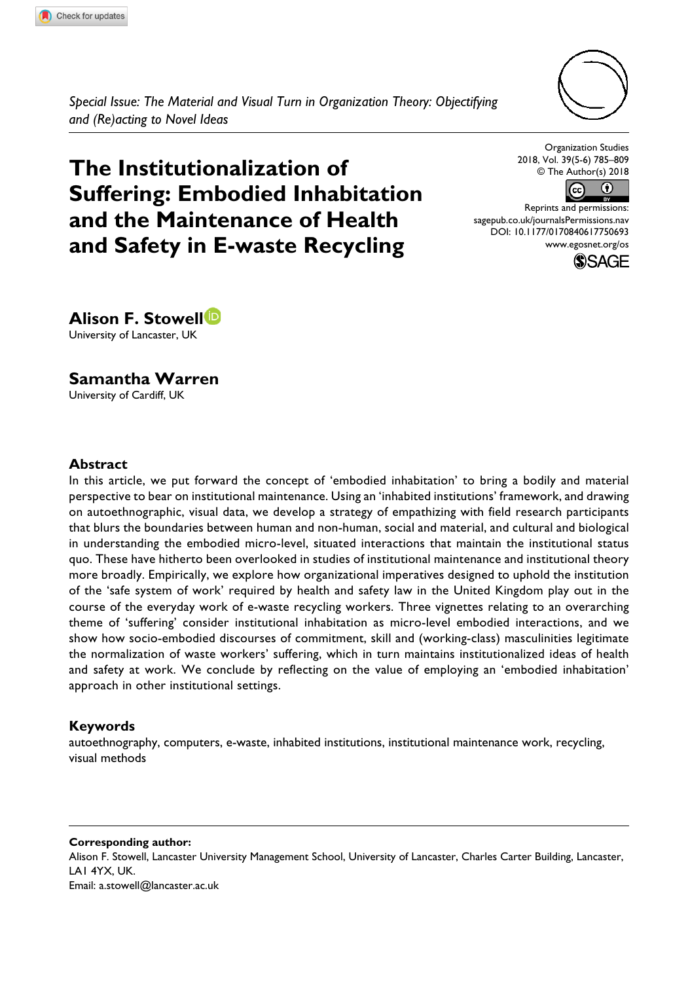

*Special Issue: The Material and Visual Turn in Organization Theory: Objectifying and (Re)acting to Novel Ideas*

# **The Institutionalization of Suffering: Embodied inhabitation and the maintenance of health and Safety in E-waste Recycling**

Organization Studies 2018, Vol. 39(5-6) 785–809 © The Author(s) 2018



DOI: 10.1177/0170840617750693 Reprints and permissions: [sagepub.co.uk/journalsPermissions.nav](https://uk.sagepub.com/en-gb/journals-permissions) [www.egosnet.org/os](http://www.egosnet.org/os)



**Alison F. Stowell** University of Lancaster, UK

**Samantha Warren** University of Cardiff, UK

#### **Abstract**

In this article, we put forward the concept of 'embodied inhabitation' to bring a bodily and material perspective to bear on institutional maintenance. Using an 'inhabited institutions' framework, and drawing on autoethnographic, visual data, we develop a strategy of empathizing with field research participants that blurs the boundaries between human and non-human, social and material, and cultural and biological in understanding the embodied micro-level, situated interactions that maintain the institutional status quo. These have hitherto been overlooked in studies of institutional maintenance and institutional theory more broadly. Empirically, we explore how organizational imperatives designed to uphold the institution of the 'safe system of work' required by health and safety law in the United Kingdom play out in the course of the everyday work of e-waste recycling workers. Three vignettes relating to an overarching theme of 'suffering' consider institutional inhabitation as micro-level embodied interactions, and we show how socio-embodied discourses of commitment, skill and (working-class) masculinities legitimate the normalization of waste workers' suffering, which in turn maintains institutionalized ideas of health and safety at work. We conclude by reflecting on the value of employing an 'embodied inhabitation' approach in other institutional settings.

#### **Keywords**

autoethnography, computers, e-waste, inhabited institutions, institutional maintenance work, recycling, visual methods

**Corresponding author:** Alison F. Stowell, Lancaster University Management School, University of Lancaster, Charles Carter Building, Lancaster, LA1 4YX, UK. Email: [a.stowell@lancaster.ac.uk](mailto:a.stowell@lancaster.ac.uk)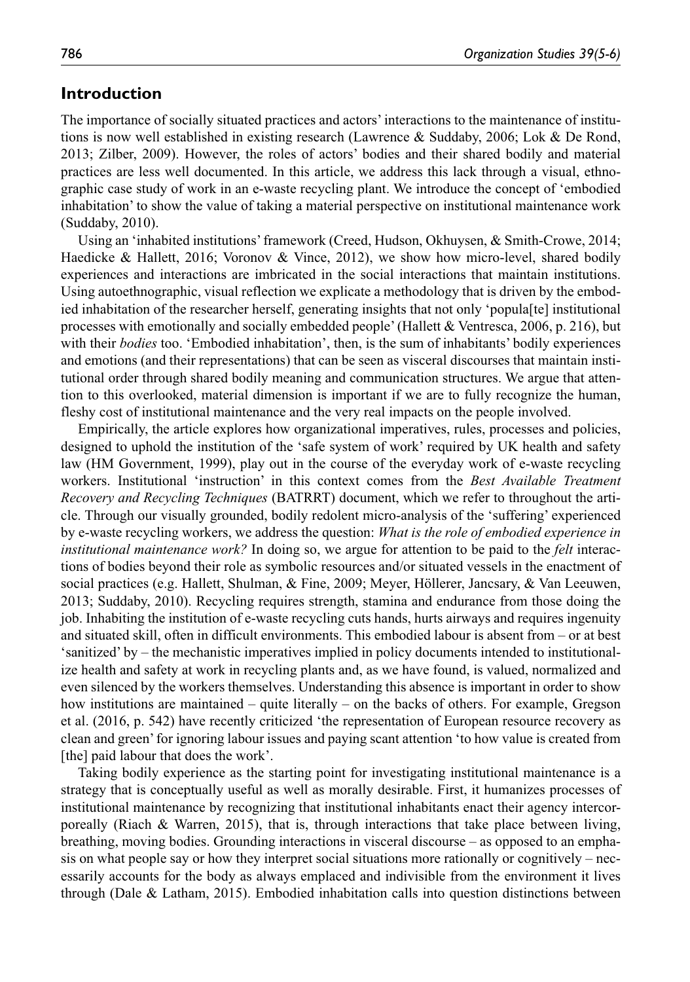### **Introduction**

The importance of socially situated practices and actors' interactions to the maintenance of institutions is now well established in existing research (Lawrence & Suddaby, 2006; Lok & De Rond, 2013; Zilber, 2009). However, the roles of actors' bodies and their shared bodily and material practices are less well documented. In this article, we address this lack through a visual, ethnographic case study of work in an e-waste recycling plant. We introduce the concept of 'embodied inhabitation' to show the value of taking a material perspective on institutional maintenance work (Suddaby, 2010).

Using an 'inhabited institutions' framework (Creed, Hudson, Okhuysen, & Smith-Crowe, 2014; Haedicke & Hallett, 2016; Voronov & Vince, 2012), we show how micro-level, shared bodily experiences and interactions are imbricated in the social interactions that maintain institutions. Using autoethnographic, visual reflection we explicate a methodology that is driven by the embodied inhabitation of the researcher herself, generating insights that not only 'popula[te] institutional processes with emotionally and socially embedded people' (Hallett & Ventresca, 2006, p. 216), but with their *bodies* too. 'Embodied inhabitation', then, is the sum of inhabitants' bodily experiences and emotions (and their representations) that can be seen as visceral discourses that maintain institutional order through shared bodily meaning and communication structures. We argue that attention to this overlooked, material dimension is important if we are to fully recognize the human, fleshy cost of institutional maintenance and the very real impacts on the people involved.

Empirically, the article explores how organizational imperatives, rules, processes and policies, designed to uphold the institution of the 'safe system of work' required by UK health and safety law (HM Government, 1999), play out in the course of the everyday work of e-waste recycling workers. Institutional 'instruction' in this context comes from the *Best Available Treatment Recovery and Recycling Techniques* (BATRRT) document, which we refer to throughout the article. Through our visually grounded, bodily redolent micro-analysis of the 'suffering' experienced by e-waste recycling workers, we address the question: *What is the role of embodied experience in institutional maintenance work?* In doing so, we argue for attention to be paid to the *felt* interactions of bodies beyond their role as symbolic resources and/or situated vessels in the enactment of social practices (e.g. Hallett, Shulman, & Fine, 2009; Meyer, Höllerer, Jancsary, & Van Leeuwen, 2013; Suddaby, 2010). Recycling requires strength, stamina and endurance from those doing the job. Inhabiting the institution of e-waste recycling cuts hands, hurts airways and requires ingenuity and situated skill, often in difficult environments. This embodied labour is absent from – or at best 'sanitized' by – the mechanistic imperatives implied in policy documents intended to institutionalize health and safety at work in recycling plants and, as we have found, is valued, normalized and even silenced by the workers themselves. Understanding this absence is important in order to show how institutions are maintained – quite literally – on the backs of others. For example, Gregson et al. (2016, p. 542) have recently criticized 'the representation of European resource recovery as clean and green' for ignoring labour issues and paying scant attention 'to how value is created from [the] paid labour that does the work'.

Taking bodily experience as the starting point for investigating institutional maintenance is a strategy that is conceptually useful as well as morally desirable. First, it humanizes processes of institutional maintenance by recognizing that institutional inhabitants enact their agency intercorporeally (Riach & Warren, 2015), that is, through interactions that take place between living, breathing, moving bodies. Grounding interactions in visceral discourse – as opposed to an emphasis on what people say or how they interpret social situations more rationally or cognitively – necessarily accounts for the body as always emplaced and indivisible from the environment it lives through (Dale & Latham, 2015). Embodied inhabitation calls into question distinctions between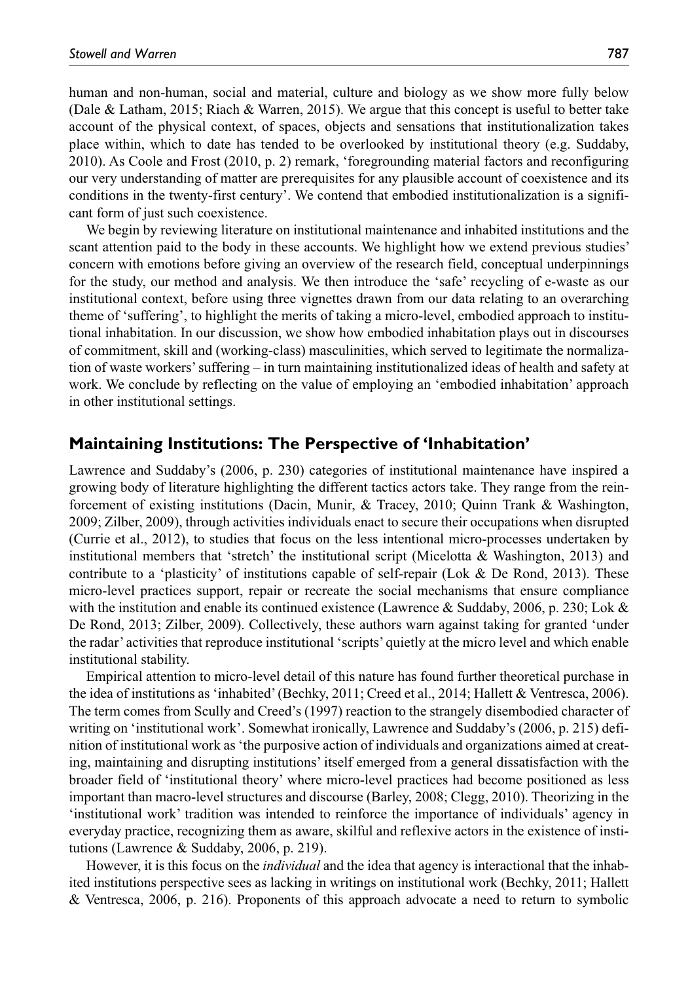human and non-human, social and material, culture and biology as we show more fully below (Dale & Latham, 2015; Riach & Warren, 2015). We argue that this concept is useful to better take account of the physical context, of spaces, objects and sensations that institutionalization takes place within, which to date has tended to be overlooked by institutional theory (e.g. Suddaby, 2010). As Coole and Frost (2010, p. 2) remark, 'foregrounding material factors and reconfiguring our very understanding of matter are prerequisites for any plausible account of coexistence and its conditions in the twenty-first century'. We contend that embodied institutionalization is a significant form of just such coexistence.

We begin by reviewing literature on institutional maintenance and inhabited institutions and the scant attention paid to the body in these accounts. We highlight how we extend previous studies' concern with emotions before giving an overview of the research field, conceptual underpinnings for the study, our method and analysis. We then introduce the 'safe' recycling of e-waste as our institutional context, before using three vignettes drawn from our data relating to an overarching theme of 'suffering', to highlight the merits of taking a micro-level, embodied approach to institutional inhabitation. In our discussion, we show how embodied inhabitation plays out in discourses of commitment, skill and (working-class) masculinities, which served to legitimate the normalization of waste workers' suffering – in turn maintaining institutionalized ideas of health and safety at work. We conclude by reflecting on the value of employing an 'embodied inhabitation' approach in other institutional settings.

## **Maintaining Institutions: The Perspective of 'Inhabitation'**

Lawrence and Suddaby's (2006, p. 230) categories of institutional maintenance have inspired a growing body of literature highlighting the different tactics actors take. They range from the reinforcement of existing institutions (Dacin, Munir, & Tracey, 2010; Quinn Trank & Washington, 2009; Zilber, 2009), through activities individuals enact to secure their occupations when disrupted (Currie et al., 2012), to studies that focus on the less intentional micro-processes undertaken by institutional members that 'stretch' the institutional script (Micelotta & Washington, 2013) and contribute to a 'plasticity' of institutions capable of self-repair (Lok & De Rond, 2013). These micro-level practices support, repair or recreate the social mechanisms that ensure compliance with the institution and enable its continued existence (Lawrence & Suddaby, 2006, p. 230; Lok & De Rond, 2013; Zilber, 2009). Collectively, these authors warn against taking for granted 'under the radar' activities that reproduce institutional 'scripts' quietly at the micro level and which enable institutional stability.

Empirical attention to micro-level detail of this nature has found further theoretical purchase in the idea of institutions as 'inhabited' (Bechky, 2011; Creed et al., 2014; Hallett & Ventresca, 2006). The term comes from Scully and Creed's (1997) reaction to the strangely disembodied character of writing on 'institutional work'. Somewhat ironically, Lawrence and Suddaby's (2006, p. 215) definition of institutional work as 'the purposive action of individuals and organizations aimed at creating, maintaining and disrupting institutions' itself emerged from a general dissatisfaction with the broader field of 'institutional theory' where micro-level practices had become positioned as less important than macro-level structures and discourse (Barley, 2008; Clegg, 2010). Theorizing in the 'institutional work' tradition was intended to reinforce the importance of individuals' agency in everyday practice, recognizing them as aware, skilful and reflexive actors in the existence of institutions (Lawrence & Suddaby, 2006, p. 219).

However, it is this focus on the *individual* and the idea that agency is interactional that the inhabited institutions perspective sees as lacking in writings on institutional work (Bechky, 2011; Hallett & Ventresca, 2006, p. 216). Proponents of this approach advocate a need to return to symbolic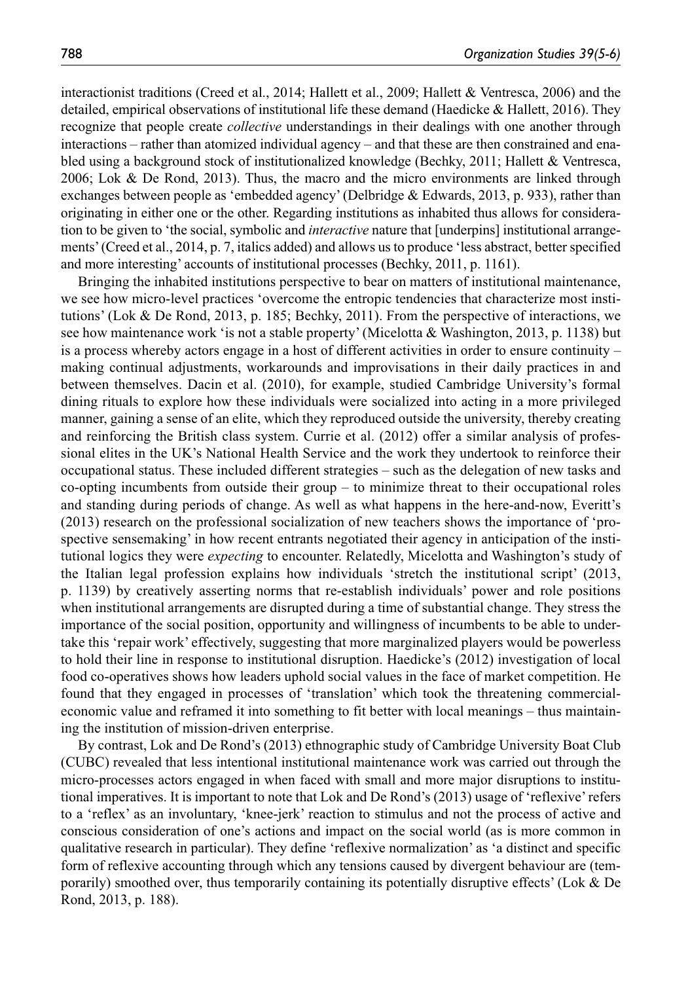interactionist traditions (Creed et al., 2014; Hallett et al., 2009; Hallett & Ventresca, 2006) and the detailed, empirical observations of institutional life these demand (Haedicke & Hallett, 2016). They recognize that people create *collective* understandings in their dealings with one another through interactions – rather than atomized individual agency – and that these are then constrained and enabled using a background stock of institutionalized knowledge (Bechky, 2011; Hallett & Ventresca, 2006; Lok & De Rond, 2013). Thus, the macro and the micro environments are linked through exchanges between people as 'embedded agency' (Delbridge & Edwards, 2013, p. 933), rather than originating in either one or the other. Regarding institutions as inhabited thus allows for consideration to be given to 'the social, symbolic and *interactive* nature that [underpins] institutional arrangements' (Creed et al., 2014, p. 7, italics added) and allows us to produce 'less abstract, better specified and more interesting' accounts of institutional processes (Bechky, 2011, p. 1161).

Bringing the inhabited institutions perspective to bear on matters of institutional maintenance, we see how micro-level practices 'overcome the entropic tendencies that characterize most institutions' (Lok & De Rond, 2013, p. 185; Bechky, 2011). From the perspective of interactions, we see how maintenance work 'is not a stable property' (Micelotta & Washington, 2013, p. 1138) but is a process whereby actors engage in a host of different activities in order to ensure continuity – making continual adjustments, workarounds and improvisations in their daily practices in and between themselves. Dacin et al. (2010), for example, studied Cambridge University's formal dining rituals to explore how these individuals were socialized into acting in a more privileged manner, gaining a sense of an elite, which they reproduced outside the university, thereby creating and reinforcing the British class system. Currie et al. (2012) offer a similar analysis of professional elites in the UK's National Health Service and the work they undertook to reinforce their occupational status. These included different strategies – such as the delegation of new tasks and co-opting incumbents from outside their group – to minimize threat to their occupational roles and standing during periods of change. As well as what happens in the here-and-now, Everitt's (2013) research on the professional socialization of new teachers shows the importance of 'prospective sensemaking' in how recent entrants negotiated their agency in anticipation of the institutional logics they were *expecting* to encounter. Relatedly, Micelotta and Washington's study of the Italian legal profession explains how individuals 'stretch the institutional script' (2013, p. 1139) by creatively asserting norms that re-establish individuals' power and role positions when institutional arrangements are disrupted during a time of substantial change. They stress the importance of the social position, opportunity and willingness of incumbents to be able to undertake this 'repair work' effectively, suggesting that more marginalized players would be powerless to hold their line in response to institutional disruption. Haedicke's (2012) investigation of local food co-operatives shows how leaders uphold social values in the face of market competition. He found that they engaged in processes of 'translation' which took the threatening commercialeconomic value and reframed it into something to fit better with local meanings – thus maintaining the institution of mission-driven enterprise.

By contrast, Lok and De Rond's (2013) ethnographic study of Cambridge University Boat Club (CUBC) revealed that less intentional institutional maintenance work was carried out through the micro-processes actors engaged in when faced with small and more major disruptions to institutional imperatives. It is important to note that Lok and De Rond's (2013) usage of 'reflexive' refers to a 'reflex' as an involuntary, 'knee-jerk' reaction to stimulus and not the process of active and conscious consideration of one's actions and impact on the social world (as is more common in qualitative research in particular). They define 'reflexive normalization' as 'a distinct and specific form of reflexive accounting through which any tensions caused by divergent behaviour are (temporarily) smoothed over, thus temporarily containing its potentially disruptive effects' (Lok & De Rond, 2013, p. 188).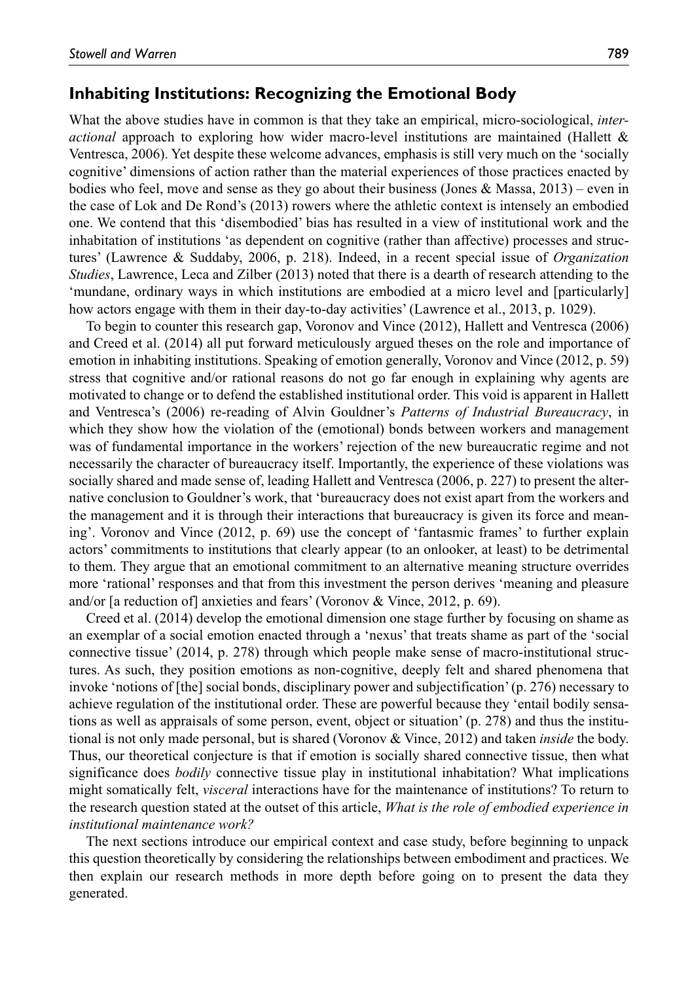### **Inhabiting Institutions: Recognizing the Emotional Body**

What the above studies have in common is that they take an empirical, micro-sociological, *interactional* approach to exploring how wider macro-level institutions are maintained (Hallett & Ventresca, 2006). Yet despite these welcome advances, emphasis is still very much on the 'socially cognitive' dimensions of action rather than the material experiences of those practices enacted by bodies who feel, move and sense as they go about their business (Jones & Massa,  $2013$ ) – even in the case of Lok and De Rond's (2013) rowers where the athletic context is intensely an embodied one. We contend that this 'disembodied' bias has resulted in a view of institutional work and the inhabitation of institutions 'as dependent on cognitive (rather than affective) processes and structures' (Lawrence & Suddaby, 2006, p. 218). Indeed, in a recent special issue of *Organization Studies*, Lawrence, Leca and Zilber (2013) noted that there is a dearth of research attending to the 'mundane, ordinary ways in which institutions are embodied at a micro level and [particularly] how actors engage with them in their day-to-day activities' (Lawrence et al., 2013, p. 1029).

To begin to counter this research gap, Voronov and Vince (2012), Hallett and Ventresca (2006) and Creed et al. (2014) all put forward meticulously argued theses on the role and importance of emotion in inhabiting institutions. Speaking of emotion generally, Voronov and Vince (2012, p. 59) stress that cognitive and/or rational reasons do not go far enough in explaining why agents are motivated to change or to defend the established institutional order. This void is apparent in Hallett and Ventresca's (2006) re-reading of Alvin Gouldner's *Patterns of Industrial Bureaucracy*, in which they show how the violation of the (emotional) bonds between workers and management was of fundamental importance in the workers' rejection of the new bureaucratic regime and not necessarily the character of bureaucracy itself. Importantly, the experience of these violations was socially shared and made sense of, leading Hallett and Ventresca (2006, p. 227) to present the alternative conclusion to Gouldner's work, that 'bureaucracy does not exist apart from the workers and the management and it is through their interactions that bureaucracy is given its force and meaning'. Voronov and Vince (2012, p. 69) use the concept of 'fantasmic frames' to further explain actors' commitments to institutions that clearly appear (to an onlooker, at least) to be detrimental to them. They argue that an emotional commitment to an alternative meaning structure overrides more 'rational' responses and that from this investment the person derives 'meaning and pleasure and/or [a reduction of] anxieties and fears' (Voronov & Vince, 2012, p. 69).

Creed et al. (2014) develop the emotional dimension one stage further by focusing on shame as an exemplar of a social emotion enacted through a 'nexus' that treats shame as part of the 'social connective tissue' (2014, p. 278) through which people make sense of macro-institutional structures. As such, they position emotions as non-cognitive, deeply felt and shared phenomena that invoke 'notions of [the] social bonds, disciplinary power and subjectification' (p. 276) necessary to achieve regulation of the institutional order. These are powerful because they 'entail bodily sensations as well as appraisals of some person, event, object or situation' (p. 278) and thus the institutional is not only made personal, but is shared (Voronov & Vince, 2012) and taken *inside* the body. Thus, our theoretical conjecture is that if emotion is socially shared connective tissue, then what significance does *bodily* connective tissue play in institutional inhabitation? What implications might somatically felt, *visceral* interactions have for the maintenance of institutions? To return to the research question stated at the outset of this article, *What is the role of embodied experience in institutional maintenance work?*

The next sections introduce our empirical context and case study, before beginning to unpack this question theoretically by considering the relationships between embodiment and practices. We then explain our research methods in more depth before going on to present the data they generated.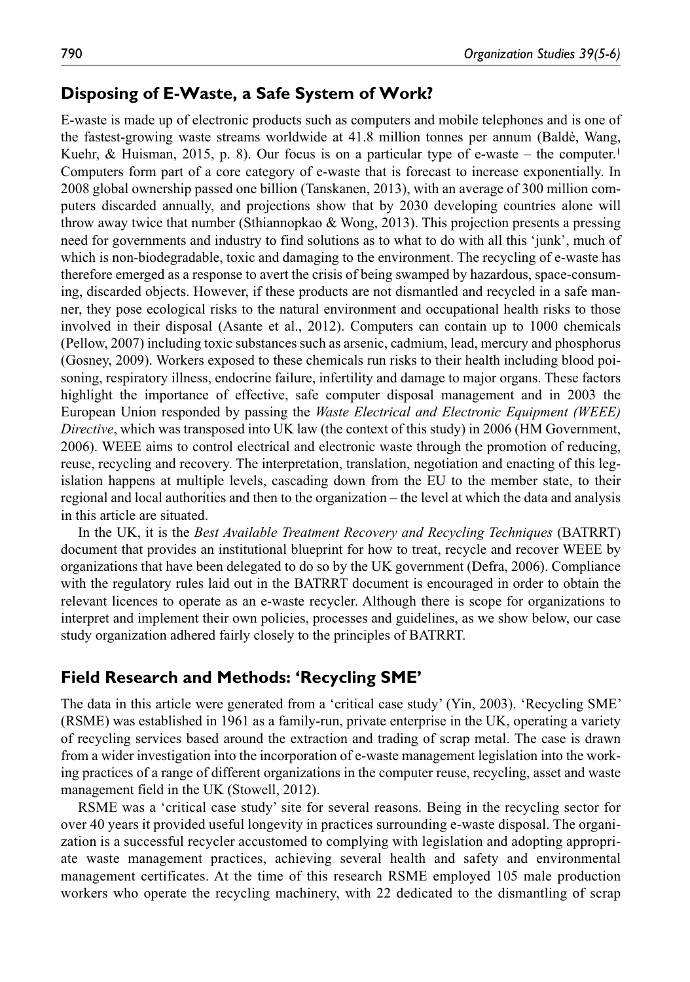### **Disposing of E-Waste, a Safe System of Work?**

E-waste is made up of electronic products such as computers and mobile telephones and is one of the fastest-growing waste streams worldwide at 41.8 million tonnes per annum (Baldè, Wang, Kuehr, & Huisman, 2015, p. 8). Our focus is on a particular type of e-waste – the computer.<sup>1</sup> Computers form part of a core category of e-waste that is forecast to increase exponentially. In 2008 global ownership passed one billion (Tanskanen, 2013), with an average of 300 million computers discarded annually, and projections show that by 2030 developing countries alone will throw away twice that number (Sthiannopkao & Wong, 2013). This projection presents a pressing need for governments and industry to find solutions as to what to do with all this 'junk', much of which is non-biodegradable, toxic and damaging to the environment. The recycling of e-waste has therefore emerged as a response to avert the crisis of being swamped by hazardous, space-consuming, discarded objects. However, if these products are not dismantled and recycled in a safe manner, they pose ecological risks to the natural environment and occupational health risks to those involved in their disposal (Asante et al., 2012). Computers can contain up to 1000 chemicals (Pellow, 2007) including toxic substances such as arsenic, cadmium, lead, mercury and phosphorus (Gosney, 2009). Workers exposed to these chemicals run risks to their health including blood poisoning, respiratory illness, endocrine failure, infertility and damage to major organs. These factors highlight the importance of effective, safe computer disposal management and in 2003 the European Union responded by passing the *Waste Electrical and Electronic Equipment (WEEE) Directive*, which was transposed into UK law (the context of this study) in 2006 (HM Government, 2006). WEEE aims to control electrical and electronic waste through the promotion of reducing, reuse, recycling and recovery. The interpretation, translation, negotiation and enacting of this legislation happens at multiple levels, cascading down from the EU to the member state, to their regional and local authorities and then to the organization – the level at which the data and analysis in this article are situated.

In the UK, it is the *Best Available Treatment Recovery and Recycling Techniques* (BATRRT) document that provides an institutional blueprint for how to treat, recycle and recover WEEE by organizations that have been delegated to do so by the UK government (Defra, 2006). Compliance with the regulatory rules laid out in the BATRRT document is encouraged in order to obtain the relevant licences to operate as an e-waste recycler. Although there is scope for organizations to interpret and implement their own policies, processes and guidelines, as we show below, our case study organization adhered fairly closely to the principles of BATRRT.

### **Field Research and Methods: 'Recycling SME'**

The data in this article were generated from a 'critical case study' (Yin, 2003). 'Recycling SME' (RSME) was established in 1961 as a family-run, private enterprise in the UK, operating a variety of recycling services based around the extraction and trading of scrap metal. The case is drawn from a wider investigation into the incorporation of e-waste management legislation into the working practices of a range of different organizations in the computer reuse, recycling, asset and waste management field in the UK (Stowell, 2012).

RSME was a 'critical case study' site for several reasons. Being in the recycling sector for over 40 years it provided useful longevity in practices surrounding e-waste disposal. The organization is a successful recycler accustomed to complying with legislation and adopting appropriate waste management practices, achieving several health and safety and environmental management certificates. At the time of this research RSME employed 105 male production workers who operate the recycling machinery, with 22 dedicated to the dismantling of scrap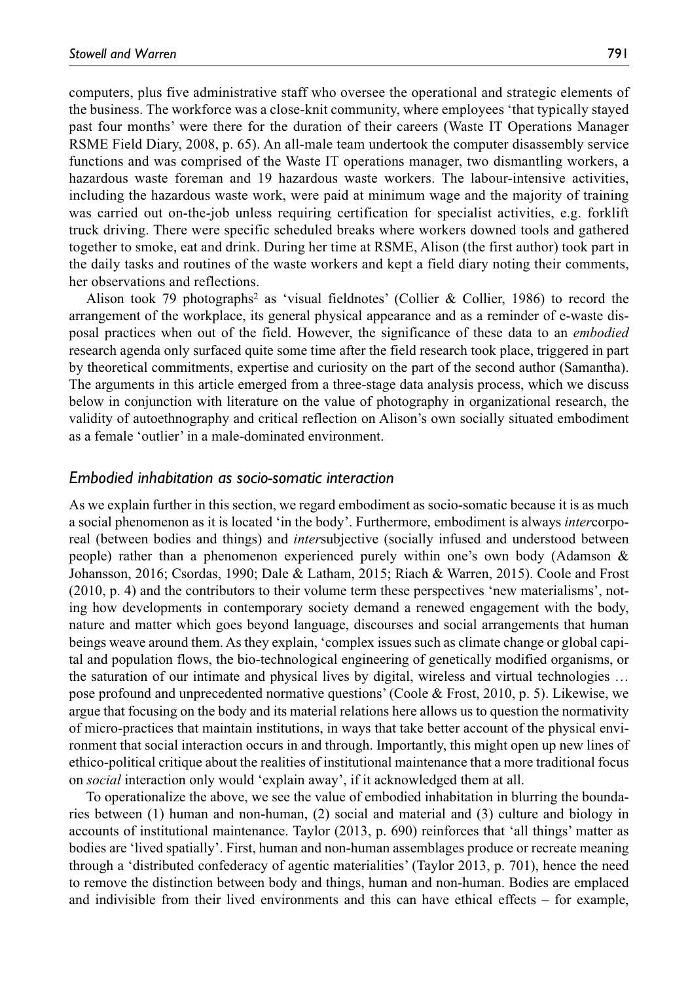computers, plus five administrative staff who oversee the operational and strategic elements of the business. The workforce was a close-knit community, where employees 'that typically stayed past four months' were there for the duration of their careers (Waste IT Operations Manager RSME Field Diary, 2008, p. 65). An all-male team undertook the computer disassembly service functions and was comprised of the Waste IT operations manager, two dismantling workers, a hazardous waste foreman and 19 hazardous waste workers. The labour-intensive activities, including the hazardous waste work, were paid at minimum wage and the majority of training was carried out on-the-job unless requiring certification for specialist activities, e.g. forklift truck driving. There were specific scheduled breaks where workers downed tools and gathered together to smoke, eat and drink. During her time at RSME, Alison (the first author) took part in the daily tasks and routines of the waste workers and kept a field diary noting their comments, her observations and reflections.

Alison took 79 photographs<sup>2</sup> as 'visual fieldnotes' (Collier & Collier, 1986) to record the arrangement of the workplace, its general physical appearance and as a reminder of e-waste disposal practices when out of the field. However, the significance of these data to an *embodied* research agenda only surfaced quite some time after the field research took place, triggered in part by theoretical commitments, expertise and curiosity on the part of the second author (Samantha). The arguments in this article emerged from a three-stage data analysis process, which we discuss below in conjunction with literature on the value of photography in organizational research, the validity of autoethnography and critical reflection on Alison's own socially situated embodiment as a female 'outlier' in a male-dominated environment.

### *Embodied inhabitation as socio-somatic interaction*

As we explain further in this section, we regard embodiment as socio-somatic because it is as much a social phenomenon as it is located 'in the body'. Furthermore, embodiment is always *inter*corporeal (between bodies and things) and *inter*subjective (socially infused and understood between people) rather than a phenomenon experienced purely within one's own body (Adamson & Johansson, 2016; Csordas, 1990; Dale & Latham, 2015; Riach & Warren, 2015). Coole and Frost (2010, p. 4) and the contributors to their volume term these perspectives 'new materialisms', noting how developments in contemporary society demand a renewed engagement with the body, nature and matter which goes beyond language, discourses and social arrangements that human beings weave around them. As they explain, 'complex issues such as climate change or global capital and population flows, the bio-technological engineering of genetically modified organisms, or the saturation of our intimate and physical lives by digital, wireless and virtual technologies … pose profound and unprecedented normative questions' (Coole & Frost, 2010, p. 5). Likewise, we argue that focusing on the body and its material relations here allows us to question the normativity of micro-practices that maintain institutions, in ways that take better account of the physical environment that social interaction occurs in and through. Importantly, this might open up new lines of ethico-political critique about the realities of institutional maintenance that a more traditional focus on *social* interaction only would 'explain away', if it acknowledged them at all.

To operationalize the above, we see the value of embodied inhabitation in blurring the boundaries between (1) human and non-human, (2) social and material and (3) culture and biology in accounts of institutional maintenance. Taylor (2013, p. 690) reinforces that 'all things' matter as bodies are 'lived spatially'. First, human and non-human assemblages produce or recreate meaning through a 'distributed confederacy of agentic materialities' (Taylor 2013, p. 701), hence the need to remove the distinction between body and things, human and non-human. Bodies are emplaced and indivisible from their lived environments and this can have ethical effects – for example,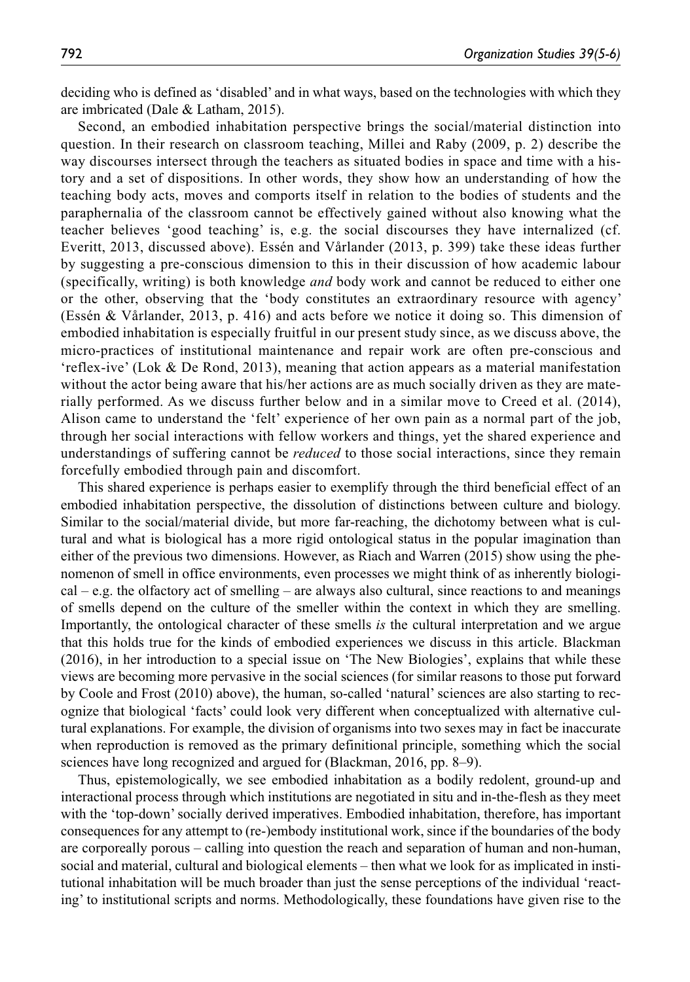deciding who is defined as 'disabled' and in what ways, based on the technologies with which they are imbricated (Dale & Latham, 2015).

Second, an embodied inhabitation perspective brings the social/material distinction into question. In their research on classroom teaching, Millei and Raby (2009, p. 2) describe the way discourses intersect through the teachers as situated bodies in space and time with a history and a set of dispositions. In other words, they show how an understanding of how the teaching body acts, moves and comports itself in relation to the bodies of students and the paraphernalia of the classroom cannot be effectively gained without also knowing what the teacher believes 'good teaching' is, e.g. the social discourses they have internalized (cf. Everitt, 2013, discussed above). Essén and Vårlander (2013, p. 399) take these ideas further by suggesting a pre-conscious dimension to this in their discussion of how academic labour (specifically, writing) is both knowledge *and* body work and cannot be reduced to either one or the other, observing that the 'body constitutes an extraordinary resource with agency' (Essén & Vårlander, 2013, p. 416) and acts before we notice it doing so. This dimension of embodied inhabitation is especially fruitful in our present study since, as we discuss above, the micro-practices of institutional maintenance and repair work are often pre-conscious and 'reflex-ive' (Lok & De Rond, 2013), meaning that action appears as a material manifestation without the actor being aware that his/her actions are as much socially driven as they are materially performed. As we discuss further below and in a similar move to Creed et al. (2014), Alison came to understand the 'felt' experience of her own pain as a normal part of the job, through her social interactions with fellow workers and things, yet the shared experience and understandings of suffering cannot be *reduced* to those social interactions, since they remain forcefully embodied through pain and discomfort.

This shared experience is perhaps easier to exemplify through the third beneficial effect of an embodied inhabitation perspective, the dissolution of distinctions between culture and biology. Similar to the social/material divide, but more far-reaching, the dichotomy between what is cultural and what is biological has a more rigid ontological status in the popular imagination than either of the previous two dimensions. However, as Riach and Warren (2015) show using the phenomenon of smell in office environments, even processes we might think of as inherently biological – e.g. the olfactory act of smelling – are always also cultural, since reactions to and meanings of smells depend on the culture of the smeller within the context in which they are smelling. Importantly, the ontological character of these smells *is* the cultural interpretation and we argue that this holds true for the kinds of embodied experiences we discuss in this article. Blackman (2016), in her introduction to a special issue on 'The New Biologies', explains that while these views are becoming more pervasive in the social sciences (for similar reasons to those put forward by Coole and Frost (2010) above), the human, so-called 'natural' sciences are also starting to recognize that biological 'facts' could look very different when conceptualized with alternative cultural explanations. For example, the division of organisms into two sexes may in fact be inaccurate when reproduction is removed as the primary definitional principle, something which the social sciences have long recognized and argued for (Blackman, 2016, pp. 8–9).

Thus, epistemologically, we see embodied inhabitation as a bodily redolent, ground-up and interactional process through which institutions are negotiated in situ and in-the-flesh as they meet with the 'top-down' socially derived imperatives. Embodied inhabitation, therefore, has important consequences for any attempt to (re-)embody institutional work, since if the boundaries of the body are corporeally porous – calling into question the reach and separation of human and non-human, social and material, cultural and biological elements – then what we look for as implicated in institutional inhabitation will be much broader than just the sense perceptions of the individual 'reacting' to institutional scripts and norms. Methodologically, these foundations have given rise to the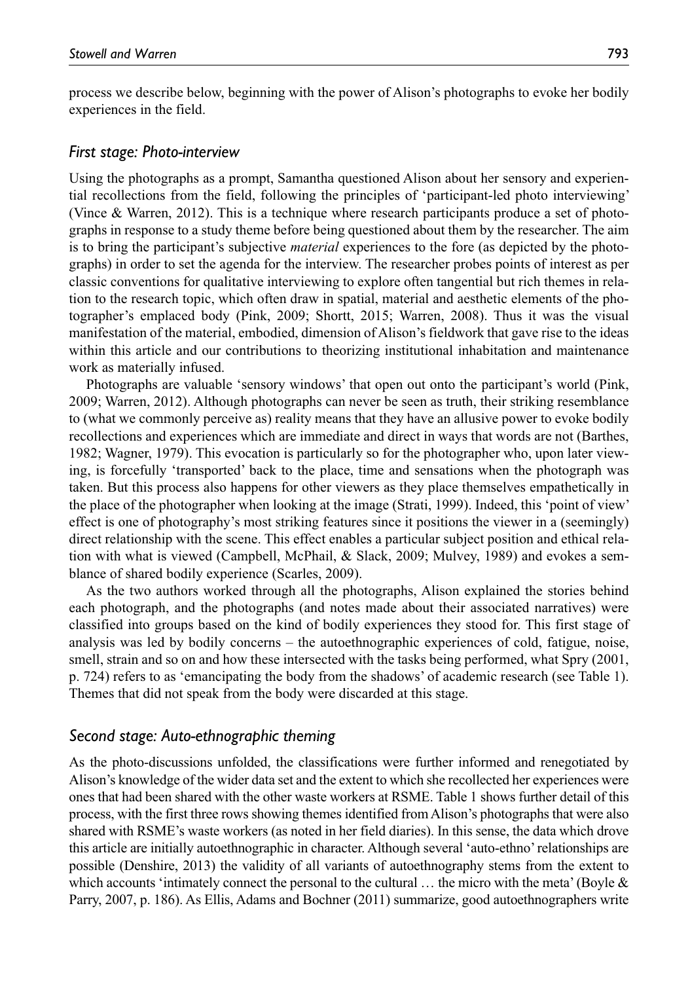process we describe below, beginning with the power of Alison's photographs to evoke her bodily experiences in the field.

### *First stage: Photo-interview*

Using the photographs as a prompt, Samantha questioned Alison about her sensory and experiential recollections from the field, following the principles of 'participant-led photo interviewing' (Vince & Warren, 2012). This is a technique where research participants produce a set of photographs in response to a study theme before being questioned about them by the researcher. The aim is to bring the participant's subjective *material* experiences to the fore (as depicted by the photographs) in order to set the agenda for the interview. The researcher probes points of interest as per classic conventions for qualitative interviewing to explore often tangential but rich themes in relation to the research topic, which often draw in spatial, material and aesthetic elements of the photographer's emplaced body (Pink, 2009; Shortt, 2015; Warren, 2008). Thus it was the visual manifestation of the material, embodied, dimension of Alison's fieldwork that gave rise to the ideas within this article and our contributions to theorizing institutional inhabitation and maintenance work as materially infused.

Photographs are valuable 'sensory windows' that open out onto the participant's world (Pink, 2009; Warren, 2012). Although photographs can never be seen as truth, their striking resemblance to (what we commonly perceive as) reality means that they have an allusive power to evoke bodily recollections and experiences which are immediate and direct in ways that words are not (Barthes, 1982; Wagner, 1979). This evocation is particularly so for the photographer who, upon later viewing, is forcefully 'transported' back to the place, time and sensations when the photograph was taken. But this process also happens for other viewers as they place themselves empathetically in the place of the photographer when looking at the image (Strati, 1999). Indeed, this 'point of view' effect is one of photography's most striking features since it positions the viewer in a (seemingly) direct relationship with the scene. This effect enables a particular subject position and ethical relation with what is viewed (Campbell, McPhail, & Slack, 2009; Mulvey, 1989) and evokes a semblance of shared bodily experience (Scarles, 2009).

As the two authors worked through all the photographs, Alison explained the stories behind each photograph, and the photographs (and notes made about their associated narratives) were classified into groups based on the kind of bodily experiences they stood for. This first stage of analysis was led by bodily concerns – the autoethnographic experiences of cold, fatigue, noise, smell, strain and so on and how these intersected with the tasks being performed, what Spry (2001, p. 724) refers to as 'emancipating the body from the shadows' of academic research (see Table 1). Themes that did not speak from the body were discarded at this stage.

### *Second stage: Auto-ethnographic theming*

As the photo-discussions unfolded, the classifications were further informed and renegotiated by Alison's knowledge of the wider data set and the extent to which she recollected her experiences were ones that had been shared with the other waste workers at RSME. Table 1 shows further detail of this process, with the first three rows showing themes identified from Alison's photographs that were also shared with RSME's waste workers (as noted in her field diaries). In this sense, the data which drove this article are initially autoethnographic in character. Although several 'auto-ethno' relationships are possible (Denshire, 2013) the validity of all variants of autoethnography stems from the extent to which accounts 'intimately connect the personal to the cultural  $\ldots$  the micro with the meta' (Boyle  $\&$ Parry, 2007, p. 186). As Ellis, Adams and Bochner (2011) summarize, good autoethnographers write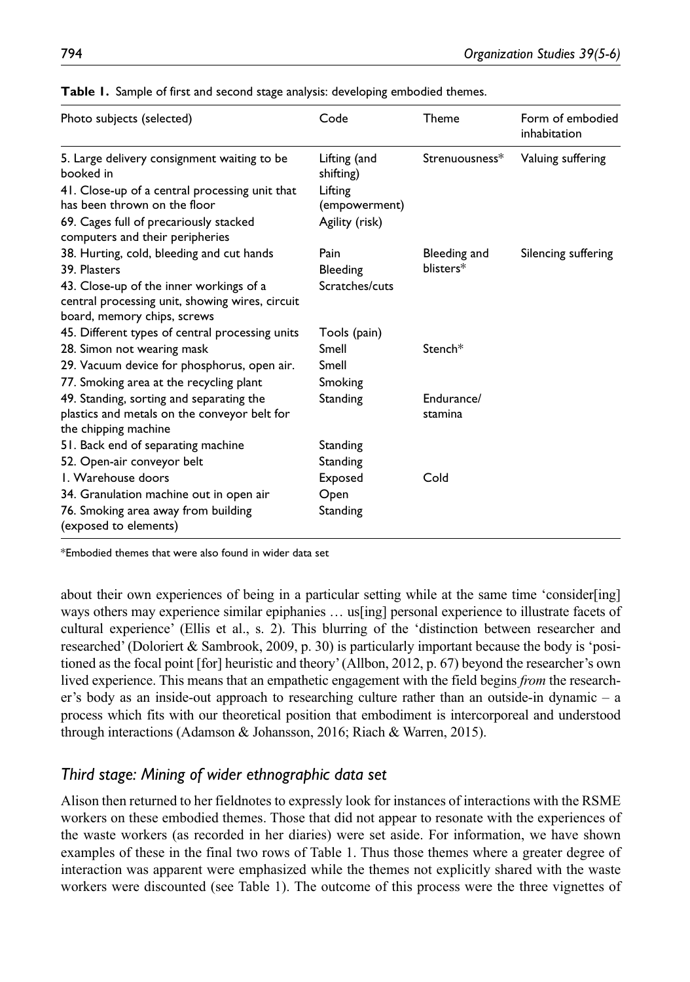| Photo subjects (selected)                                                                                                 | Code                      | Theme                     | Form of embodied<br>inhabitation |
|---------------------------------------------------------------------------------------------------------------------------|---------------------------|---------------------------|----------------------------------|
| 5. Large delivery consignment waiting to be<br>booked in                                                                  | Lifting (and<br>shifting) | Strenuousness*            | Valuing suffering                |
| 41. Close-up of a central processing unit that<br>has been thrown on the floor                                            | Lifting<br>(empowerment)  |                           |                                  |
| 69. Cages full of precariously stacked<br>computers and their peripheries                                                 | Agility (risk)            |                           |                                  |
| 38. Hurting, cold, bleeding and cut hands<br>39. Plasters                                                                 | Pain<br>Bleeding          | Bleeding and<br>blisters* | Silencing suffering              |
| 43. Close-up of the inner workings of a<br>central processing unit, showing wires, circuit<br>board, memory chips, screws | Scratches/cuts            |                           |                                  |
| 45. Different types of central processing units                                                                           | Tools (pain)              |                           |                                  |
| 28. Simon not wearing mask                                                                                                | Smell                     | Stench*                   |                                  |
| 29. Vacuum device for phosphorus, open air.                                                                               | Smell                     |                           |                                  |
| 77. Smoking area at the recycling plant                                                                                   | Smoking                   |                           |                                  |
| 49. Standing, sorting and separating the<br>plastics and metals on the conveyor belt for<br>the chipping machine          | Standing                  | Endurance/<br>stamina     |                                  |
| 51. Back end of separating machine                                                                                        | Standing                  |                           |                                  |
| 52. Open-air conveyor belt                                                                                                | Standing                  |                           |                                  |
| I. Warehouse doors                                                                                                        | <b>Exposed</b>            | Cold                      |                                  |
| 34. Granulation machine out in open air                                                                                   | Open                      |                           |                                  |
| 76. Smoking area away from building<br>(exposed to elements)                                                              | Standing                  |                           |                                  |

**Table 1.** Sample of first and second stage analysis: developing embodied themes.

\*Embodied themes that were also found in wider data set

about their own experiences of being in a particular setting while at the same time 'consider[ing] ways others may experience similar epiphanies … us[ing] personal experience to illustrate facets of cultural experience' (Ellis et al., s. 2). This blurring of the 'distinction between researcher and researched' (Doloriert & Sambrook, 2009, p. 30) is particularly important because the body is 'positioned as the focal point [for] heuristic and theory' (Allbon, 2012, p. 67) beyond the researcher's own lived experience. This means that an empathetic engagement with the field begins *from* the researcher's body as an inside-out approach to researching culture rather than an outside-in dynamic – a process which fits with our theoretical position that embodiment is intercorporeal and understood through interactions (Adamson & Johansson, 2016; Riach & Warren, 2015).

# *Third stage: Mining of wider ethnographic data set*

Alison then returned to her fieldnotes to expressly look for instances of interactions with the RSME workers on these embodied themes. Those that did not appear to resonate with the experiences of the waste workers (as recorded in her diaries) were set aside. For information, we have shown examples of these in the final two rows of Table 1. Thus those themes where a greater degree of interaction was apparent were emphasized while the themes not explicitly shared with the waste workers were discounted (see Table 1). The outcome of this process were the three vignettes of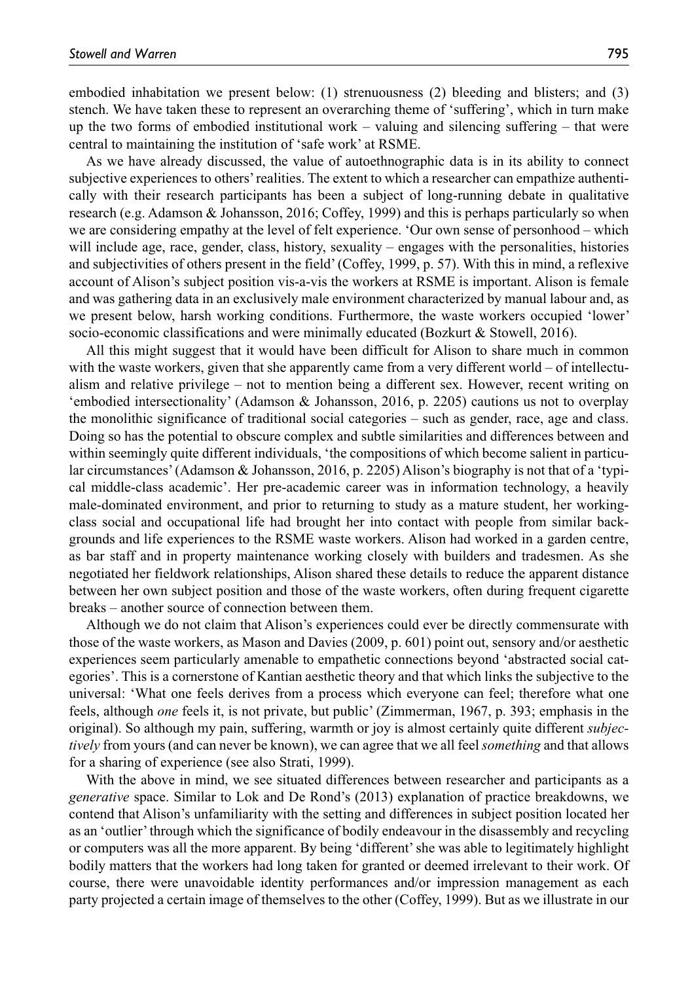embodied inhabitation we present below: (1) strenuousness (2) bleeding and blisters; and (3) stench. We have taken these to represent an overarching theme of 'suffering', which in turn make up the two forms of embodied institutional work – valuing and silencing suffering – that were central to maintaining the institution of 'safe work' at RSME.

As we have already discussed, the value of autoethnographic data is in its ability to connect subjective experiences to others' realities. The extent to which a researcher can empathize authentically with their research participants has been a subject of long-running debate in qualitative research (e.g. Adamson & Johansson, 2016; Coffey, 1999) and this is perhaps particularly so when we are considering empathy at the level of felt experience. 'Our own sense of personhood – which will include age, race, gender, class, history, sexuality – engages with the personalities, histories and subjectivities of others present in the field' (Coffey, 1999, p. 57). With this in mind, a reflexive account of Alison's subject position vis-a-vis the workers at RSME is important. Alison is female and was gathering data in an exclusively male environment characterized by manual labour and, as we present below, harsh working conditions. Furthermore, the waste workers occupied 'lower' socio-economic classifications and were minimally educated (Bozkurt & Stowell, 2016).

All this might suggest that it would have been difficult for Alison to share much in common with the waste workers, given that she apparently came from a very different world – of intellectualism and relative privilege – not to mention being a different sex. However, recent writing on 'embodied intersectionality' (Adamson & Johansson, 2016, p. 2205) cautions us not to overplay the monolithic significance of traditional social categories – such as gender, race, age and class. Doing so has the potential to obscure complex and subtle similarities and differences between and within seemingly quite different individuals, 'the compositions of which become salient in particular circumstances' (Adamson & Johansson, 2016, p. 2205) Alison's biography is not that of a 'typical middle-class academic'. Her pre-academic career was in information technology, a heavily male-dominated environment, and prior to returning to study as a mature student, her workingclass social and occupational life had brought her into contact with people from similar backgrounds and life experiences to the RSME waste workers. Alison had worked in a garden centre, as bar staff and in property maintenance working closely with builders and tradesmen. As she negotiated her fieldwork relationships, Alison shared these details to reduce the apparent distance between her own subject position and those of the waste workers, often during frequent cigarette breaks – another source of connection between them.

Although we do not claim that Alison's experiences could ever be directly commensurate with those of the waste workers, as Mason and Davies (2009, p. 601) point out, sensory and/or aesthetic experiences seem particularly amenable to empathetic connections beyond 'abstracted social categories'. This is a cornerstone of Kantian aesthetic theory and that which links the subjective to the universal: 'What one feels derives from a process which everyone can feel; therefore what one feels, although *one* feels it, is not private, but public' (Zimmerman, 1967, p. 393; emphasis in the original). So although my pain, suffering, warmth or joy is almost certainly quite different *subjectively* from yours (and can never be known), we can agree that we all feel *something* and that allows for a sharing of experience (see also Strati, 1999).

With the above in mind, we see situated differences between researcher and participants as a *generative* space. Similar to Lok and De Rond's (2013) explanation of practice breakdowns, we contend that Alison's unfamiliarity with the setting and differences in subject position located her as an 'outlier' through which the significance of bodily endeavour in the disassembly and recycling or computers was all the more apparent. By being 'different' she was able to legitimately highlight bodily matters that the workers had long taken for granted or deemed irrelevant to their work. Of course, there were unavoidable identity performances and/or impression management as each party projected a certain image of themselves to the other (Coffey, 1999). But as we illustrate in our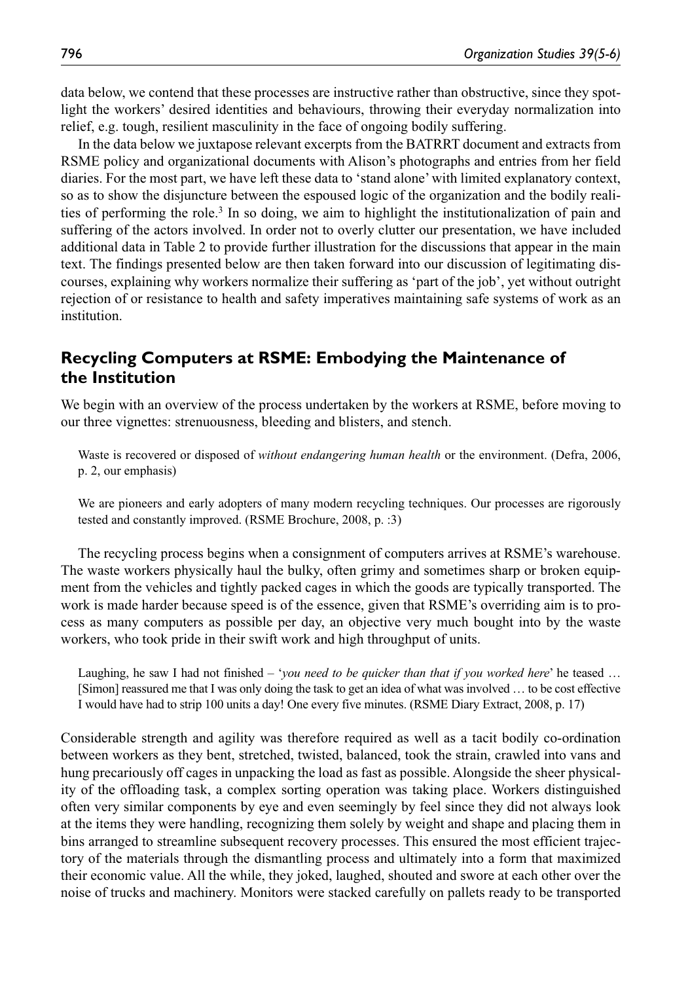data below, we contend that these processes are instructive rather than obstructive, since they spotlight the workers' desired identities and behaviours, throwing their everyday normalization into relief, e.g. tough, resilient masculinity in the face of ongoing bodily suffering.

In the data below we juxtapose relevant excerpts from the BATRRT document and extracts from RSME policy and organizational documents with Alison's photographs and entries from her field diaries. For the most part, we have left these data to 'stand alone' with limited explanatory context, so as to show the disjuncture between the espoused logic of the organization and the bodily realities of performing the role.3 In so doing, we aim to highlight the institutionalization of pain and suffering of the actors involved. In order not to overly clutter our presentation, we have included additional data in Table 2 to provide further illustration for the discussions that appear in the main text. The findings presented below are then taken forward into our discussion of legitimating discourses, explaining why workers normalize their suffering as 'part of the job', yet without outright rejection of or resistance to health and safety imperatives maintaining safe systems of work as an institution.

# **Recycling Computers at RSME: Embodying the Maintenance of the Institution**

We begin with an overview of the process undertaken by the workers at RSME, before moving to our three vignettes: strenuousness, bleeding and blisters, and stench.

Waste is recovered or disposed of *without endangering human health* or the environment. (Defra, 2006, p. 2, our emphasis)

We are pioneers and early adopters of many modern recycling techniques. Our processes are rigorously tested and constantly improved. (RSME Brochure, 2008, p. :3)

The recycling process begins when a consignment of computers arrives at RSME's warehouse. The waste workers physically haul the bulky, often grimy and sometimes sharp or broken equipment from the vehicles and tightly packed cages in which the goods are typically transported. The work is made harder because speed is of the essence, given that RSME's overriding aim is to process as many computers as possible per day, an objective very much bought into by the waste workers, who took pride in their swift work and high throughput of units.

Laughing, he saw I had not finished – *'you need to be quicker than that if you worked here*' he teased ... [Simon] reassured me that I was only doing the task to get an idea of what was involved … to be cost effective I would have had to strip 100 units a day! One every five minutes. (RSME Diary Extract, 2008, p. 17)

Considerable strength and agility was therefore required as well as a tacit bodily co-ordination between workers as they bent, stretched, twisted, balanced, took the strain, crawled into vans and hung precariously off cages in unpacking the load as fast as possible. Alongside the sheer physicality of the offloading task, a complex sorting operation was taking place. Workers distinguished often very similar components by eye and even seemingly by feel since they did not always look at the items they were handling, recognizing them solely by weight and shape and placing them in bins arranged to streamline subsequent recovery processes. This ensured the most efficient trajectory of the materials through the dismantling process and ultimately into a form that maximized their economic value. All the while, they joked, laughed, shouted and swore at each other over the noise of trucks and machinery. Monitors were stacked carefully on pallets ready to be transported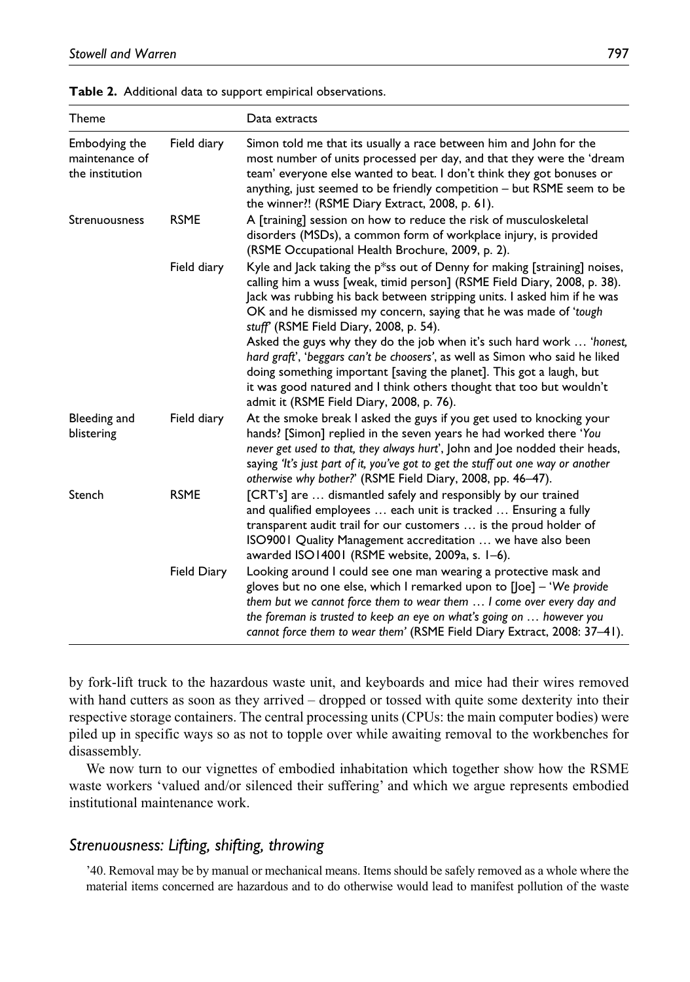| <b>Theme</b>                                       |                    | Data extracts                                                                                                                                                                                                                                                                                                                                                                                                                                                                                                                                                                                                                                                                                           |
|----------------------------------------------------|--------------------|---------------------------------------------------------------------------------------------------------------------------------------------------------------------------------------------------------------------------------------------------------------------------------------------------------------------------------------------------------------------------------------------------------------------------------------------------------------------------------------------------------------------------------------------------------------------------------------------------------------------------------------------------------------------------------------------------------|
| Embodying the<br>maintenance of<br>the institution | Field diary        | Simon told me that its usually a race between him and John for the<br>most number of units processed per day, and that they were the 'dream<br>team' everyone else wanted to beat. I don't think they got bonuses or<br>anything, just seemed to be friendly competition - but RSME seem to be<br>the winner?! (RSME Diary Extract, 2008, p. 61).                                                                                                                                                                                                                                                                                                                                                       |
| Strenuousness                                      | <b>RSME</b>        | A [training] session on how to reduce the risk of musculoskeletal<br>disorders (MSDs), a common form of workplace injury, is provided<br>(RSME Occupational Health Brochure, 2009, p. 2).                                                                                                                                                                                                                                                                                                                                                                                                                                                                                                               |
|                                                    | Field diary        | Kyle and Jack taking the p*ss out of Denny for making [straining] noises,<br>calling him a wuss [weak, timid person] (RSME Field Diary, 2008, p. 38).<br>Jack was rubbing his back between stripping units. I asked him if he was<br>OK and he dismissed my concern, saying that he was made of 'tough<br>stuff' (RSME Field Diary, 2008, p. 54).<br>Asked the guys why they do the job when it's such hard work  'honest,<br>hard graft', 'beggars can't be choosers', as well as Simon who said he liked<br>doing something important [saving the planet]. This got a laugh, but<br>it was good natured and I think others thought that too but wouldn't<br>admit it (RSME Field Diary, 2008, p. 76). |
| Bleeding and<br>blistering                         | Field diary        | At the smoke break I asked the guys if you get used to knocking your<br>hands? [Simon] replied in the seven years he had worked there 'You<br>never get used to that, they always hurt', John and Joe nodded their heads,<br>saying 'It's just part of it, you've got to get the stuff out one way or another<br>otherwise why bother?' (RSME Field Diary, 2008, pp. 46-47).                                                                                                                                                                                                                                                                                                                            |
| Stench                                             | <b>RSME</b>        | [CRT's] are  dismantled safely and responsibly by our trained<br>and qualified employees  each unit is tracked  Ensuring a fully<br>transparent audit trail for our customers  is the proud holder of<br>ISO9001 Quality Management accreditation  we have also been<br>awarded ISO14001 (RSME website, 2009a, s. 1-6).                                                                                                                                                                                                                                                                                                                                                                                 |
|                                                    | <b>Field Diary</b> | Looking around I could see one man wearing a protective mask and<br>gloves but no one else, which I remarked upon to [Joe] - 'We provide<br>them but we cannot force them to wear them  I come over every day and<br>the foreman is trusted to keep an eye on what's going on  however you<br>cannot force them to wear them' (RSME Field Diary Extract, 2008: 37-41).                                                                                                                                                                                                                                                                                                                                  |

**Table 2.** Additional data to support empirical observations.

by fork-lift truck to the hazardous waste unit, and keyboards and mice had their wires removed with hand cutters as soon as they arrived – dropped or tossed with quite some dexterity into their respective storage containers. The central processing units (CPUs: the main computer bodies) were piled up in specific ways so as not to topple over while awaiting removal to the workbenches for disassembly.

We now turn to our vignettes of embodied inhabitation which together show how the RSME waste workers 'valued and/or silenced their suffering' and which we argue represents embodied institutional maintenance work.

# *Strenuousness: Lifting, shifting, throwing*

'40. Removal may be by manual or mechanical means. Items should be safely removed as a whole where the material items concerned are hazardous and to do otherwise would lead to manifest pollution of the waste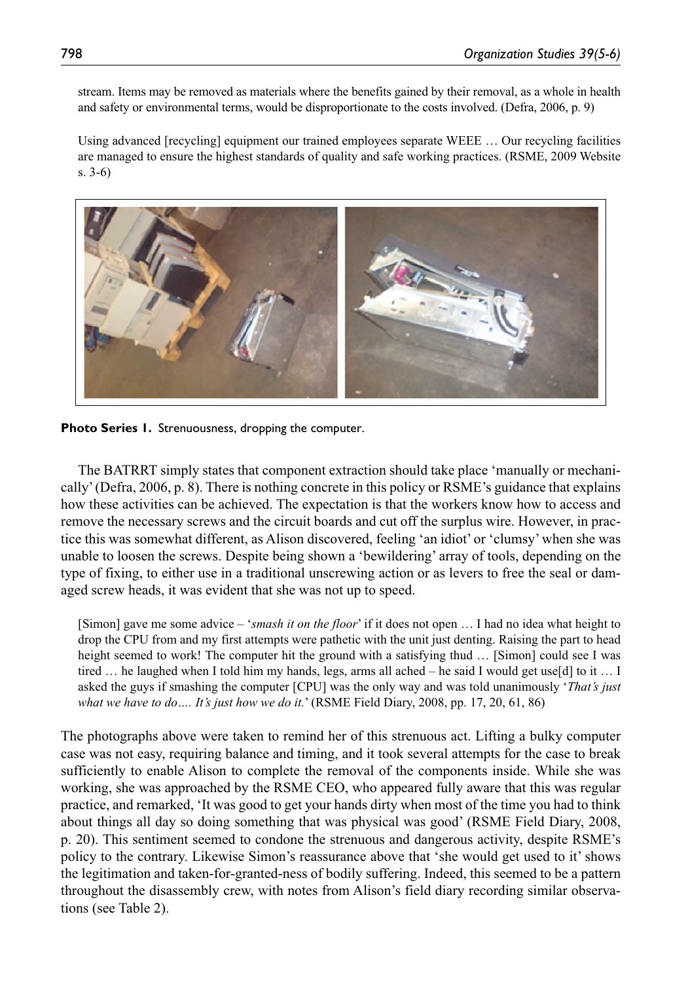stream. Items may be removed as materials where the benefits gained by their removal, as a whole in health and safety or environmental terms, would be disproportionate to the costs involved. (Defra, 2006, p. 9)

Using advanced [recycling] equipment our trained employees separate WEEE … Our recycling facilities are managed to ensure the highest standards of quality and safe working practices. (RSME, 2009 Website s. 3-6)



**Photo Series 1.** Strenuousness, dropping the computer.

The BATRRT simply states that component extraction should take place 'manually or mechanically' (Defra, 2006, p. 8). There is nothing concrete in this policy or RSME's guidance that explains how these activities can be achieved. The expectation is that the workers know how to access and remove the necessary screws and the circuit boards and cut off the surplus wire. However, in practice this was somewhat different, as Alison discovered, feeling 'an idiot' or 'clumsy' when she was unable to loosen the screws. Despite being shown a 'bewildering' array of tools, depending on the type of fixing, to either use in a traditional unscrewing action or as levers to free the seal or damaged screw heads, it was evident that she was not up to speed.

[Simon] gave me some advice – '*smash it on the floor*' if it does not open … I had no idea what height to drop the CPU from and my first attempts were pathetic with the unit just denting. Raising the part to head height seemed to work! The computer hit the ground with a satisfying thud ... [Simon] could see I was tired … he laughed when I told him my hands, legs, arms all ached – he said I would get use[d] to it … I asked the guys if smashing the computer [CPU] was the only way and was told unanimously '*That's just what we have to do…. It's just how we do it.*' (RSME Field Diary, 2008, pp. 17, 20, 61, 86)

The photographs above were taken to remind her of this strenuous act. Lifting a bulky computer case was not easy, requiring balance and timing, and it took several attempts for the case to break sufficiently to enable Alison to complete the removal of the components inside. While she was working, she was approached by the RSME CEO, who appeared fully aware that this was regular practice, and remarked, 'It was good to get your hands dirty when most of the time you had to think about things all day so doing something that was physical was good' (RSME Field Diary, 2008, p. 20). This sentiment seemed to condone the strenuous and dangerous activity, despite RSME's policy to the contrary. Likewise Simon's reassurance above that 'she would get used to it' shows the legitimation and taken-for-granted-ness of bodily suffering. Indeed, this seemed to be a pattern throughout the disassembly crew, with notes from Alison's field diary recording similar observations (see Table 2).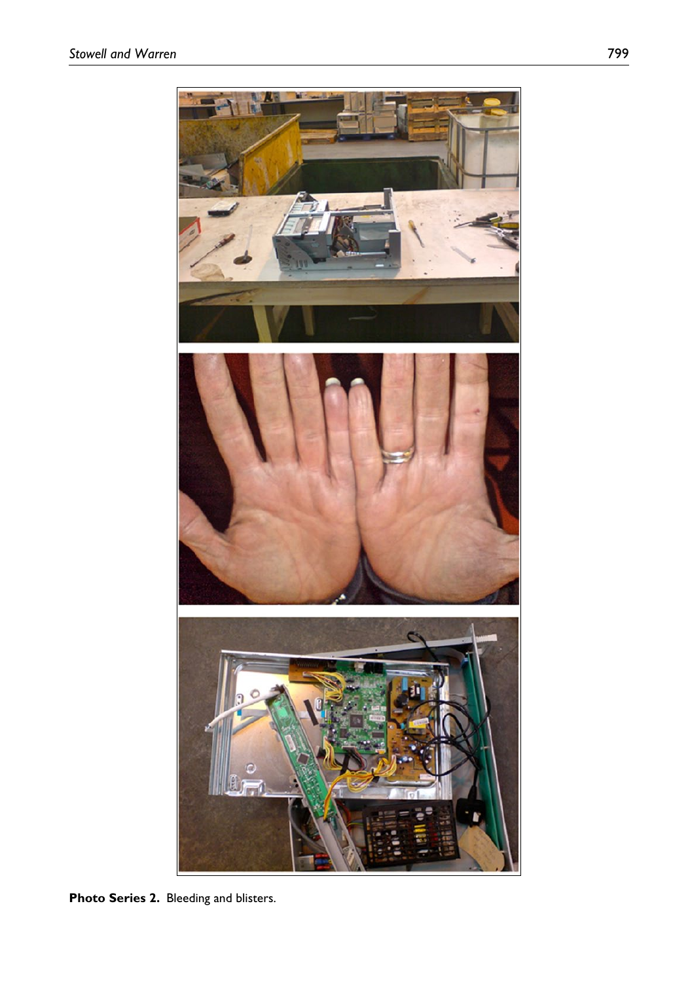

**Photo Series 2.** Bleeding and blisters.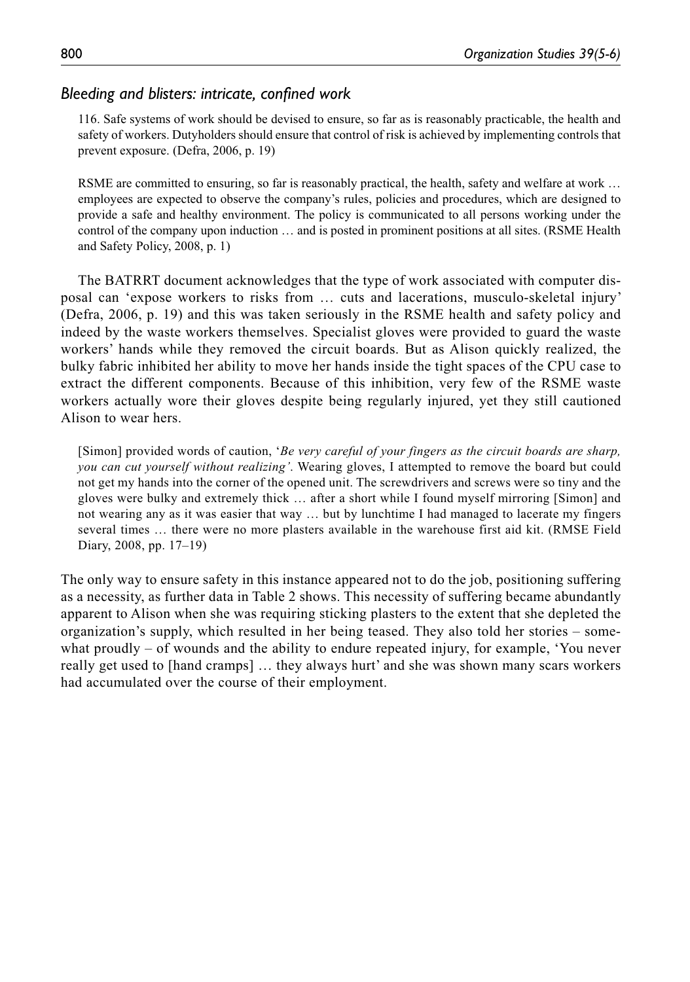# *Bleeding and blisters: intricate, confined work*

116. Safe systems of work should be devised to ensure, so far as is reasonably practicable, the health and safety of workers. Dutyholders should ensure that control of risk is achieved by implementing controls that prevent exposure. (Defra, 2006, p. 19)

RSME are committed to ensuring, so far is reasonably practical, the health, safety and welfare at work ... employees are expected to observe the company's rules, policies and procedures, which are designed to provide a safe and healthy environment. The policy is communicated to all persons working under the control of the company upon induction … and is posted in prominent positions at all sites. (RSME Health and Safety Policy, 2008, p. 1)

The BATRRT document acknowledges that the type of work associated with computer disposal can 'expose workers to risks from … cuts and lacerations, musculo-skeletal injury' (Defra, 2006, p. 19) and this was taken seriously in the RSME health and safety policy and indeed by the waste workers themselves. Specialist gloves were provided to guard the waste workers' hands while they removed the circuit boards. But as Alison quickly realized, the bulky fabric inhibited her ability to move her hands inside the tight spaces of the CPU case to extract the different components. Because of this inhibition, very few of the RSME waste workers actually wore their gloves despite being regularly injured, yet they still cautioned Alison to wear hers.

[Simon] provided words of caution, '*Be very careful of your fingers as the circuit boards are sharp, you can cut yourself without realizing'*. Wearing gloves, I attempted to remove the board but could not get my hands into the corner of the opened unit. The screwdrivers and screws were so tiny and the gloves were bulky and extremely thick … after a short while I found myself mirroring [Simon] and not wearing any as it was easier that way … but by lunchtime I had managed to lacerate my fingers several times … there were no more plasters available in the warehouse first aid kit. (RMSE Field Diary, 2008, pp. 17–19)

The only way to ensure safety in this instance appeared not to do the job, positioning suffering as a necessity, as further data in Table 2 shows. This necessity of suffering became abundantly apparent to Alison when she was requiring sticking plasters to the extent that she depleted the organization's supply, which resulted in her being teased. They also told her stories – somewhat proudly – of wounds and the ability to endure repeated injury, for example, 'You never really get used to [hand cramps] … they always hurt' and she was shown many scars workers had accumulated over the course of their employment.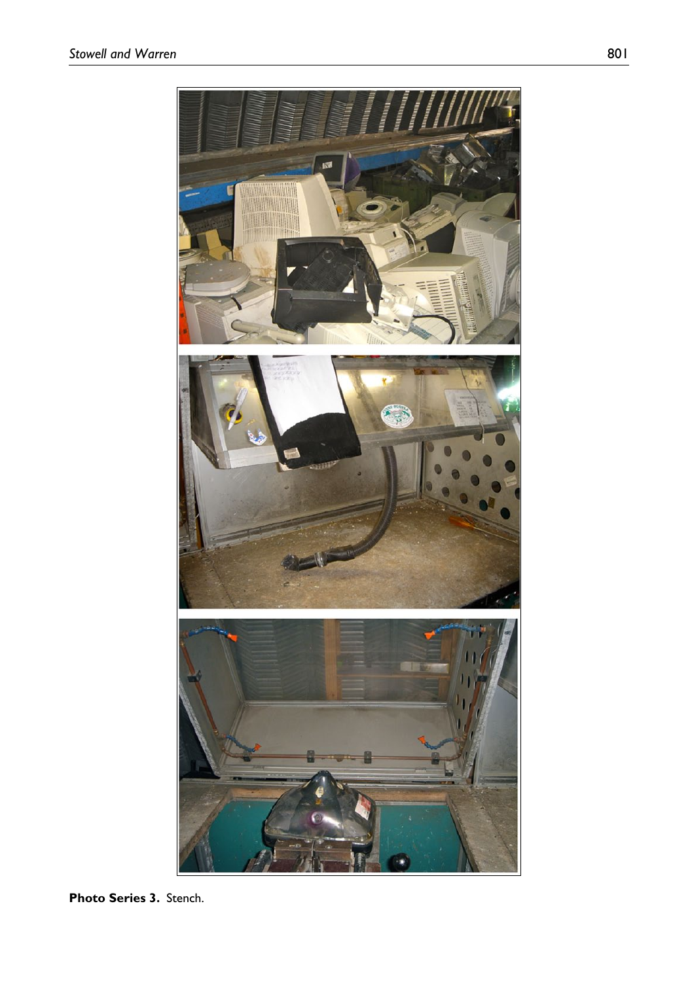

**Photo Series 3.** Stench.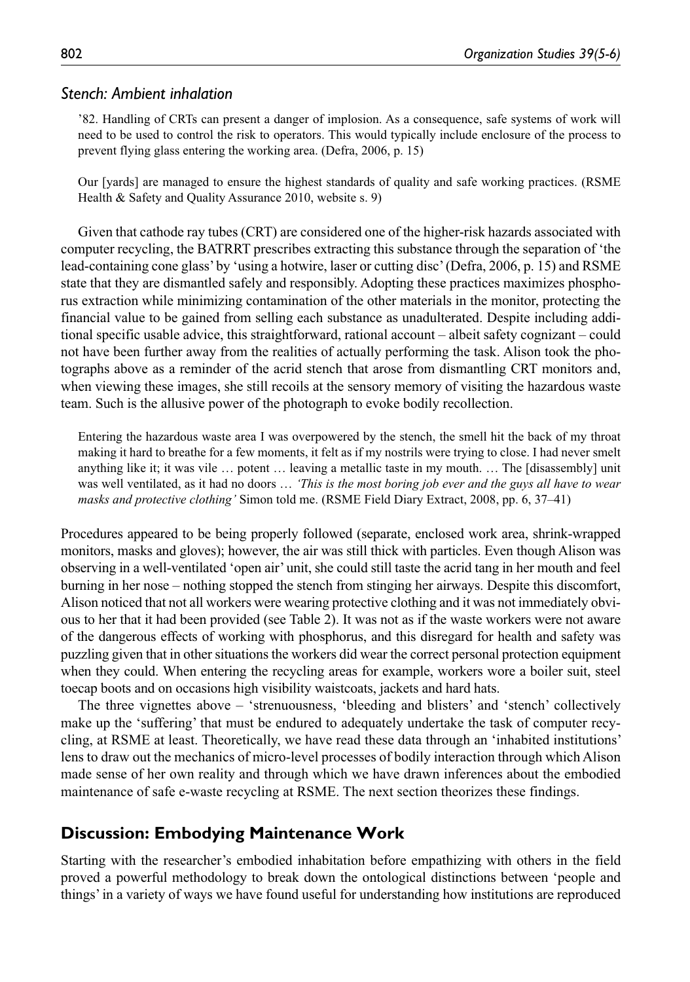### *Stench: Ambient inhalation*

'82. Handling of CRTs can present a danger of implosion. As a consequence, safe systems of work will need to be used to control the risk to operators. This would typically include enclosure of the process to prevent flying glass entering the working area. (Defra, 2006, p. 15)

Our [yards] are managed to ensure the highest standards of quality and safe working practices. (RSME Health & Safety and Quality Assurance 2010, website s. 9)

Given that cathode ray tubes (CRT) are considered one of the higher-risk hazards associated with computer recycling, the BATRRT prescribes extracting this substance through the separation of 'the lead-containing cone glass' by 'using a hotwire, laser or cutting disc' (Defra, 2006, p. 15) and RSME state that they are dismantled safely and responsibly. Adopting these practices maximizes phosphorus extraction while minimizing contamination of the other materials in the monitor, protecting the financial value to be gained from selling each substance as unadulterated. Despite including additional specific usable advice, this straightforward, rational account – albeit safety cognizant – could not have been further away from the realities of actually performing the task. Alison took the photographs above as a reminder of the acrid stench that arose from dismantling CRT monitors and, when viewing these images, she still recoils at the sensory memory of visiting the hazardous waste team. Such is the allusive power of the photograph to evoke bodily recollection.

Entering the hazardous waste area I was overpowered by the stench, the smell hit the back of my throat making it hard to breathe for a few moments, it felt as if my nostrils were trying to close. I had never smelt anything like it; it was vile … potent … leaving a metallic taste in my mouth. … The [disassembly] unit was well ventilated, as it had no doors ... *'This is the most boring job ever and the guys all have to wear masks and protective clothing'* Simon told me. (RSME Field Diary Extract, 2008, pp. 6, 37–41)

Procedures appeared to be being properly followed (separate, enclosed work area, shrink-wrapped monitors, masks and gloves); however, the air was still thick with particles. Even though Alison was observing in a well-ventilated 'open air' unit, she could still taste the acrid tang in her mouth and feel burning in her nose – nothing stopped the stench from stinging her airways. Despite this discomfort, Alison noticed that not all workers were wearing protective clothing and it was not immediately obvious to her that it had been provided (see Table 2). It was not as if the waste workers were not aware of the dangerous effects of working with phosphorus, and this disregard for health and safety was puzzling given that in other situations the workers did wear the correct personal protection equipment when they could. When entering the recycling areas for example, workers wore a boiler suit, steel toecap boots and on occasions high visibility waistcoats, jackets and hard hats.

The three vignettes above – 'strenuousness, 'bleeding and blisters' and 'stench' collectively make up the 'suffering' that must be endured to adequately undertake the task of computer recycling, at RSME at least. Theoretically, we have read these data through an 'inhabited institutions' lens to draw out the mechanics of micro-level processes of bodily interaction through which Alison made sense of her own reality and through which we have drawn inferences about the embodied maintenance of safe e-waste recycling at RSME. The next section theorizes these findings.

# **Discussion: Embodying Maintenance Work**

Starting with the researcher's embodied inhabitation before empathizing with others in the field proved a powerful methodology to break down the ontological distinctions between 'people and things' in a variety of ways we have found useful for understanding how institutions are reproduced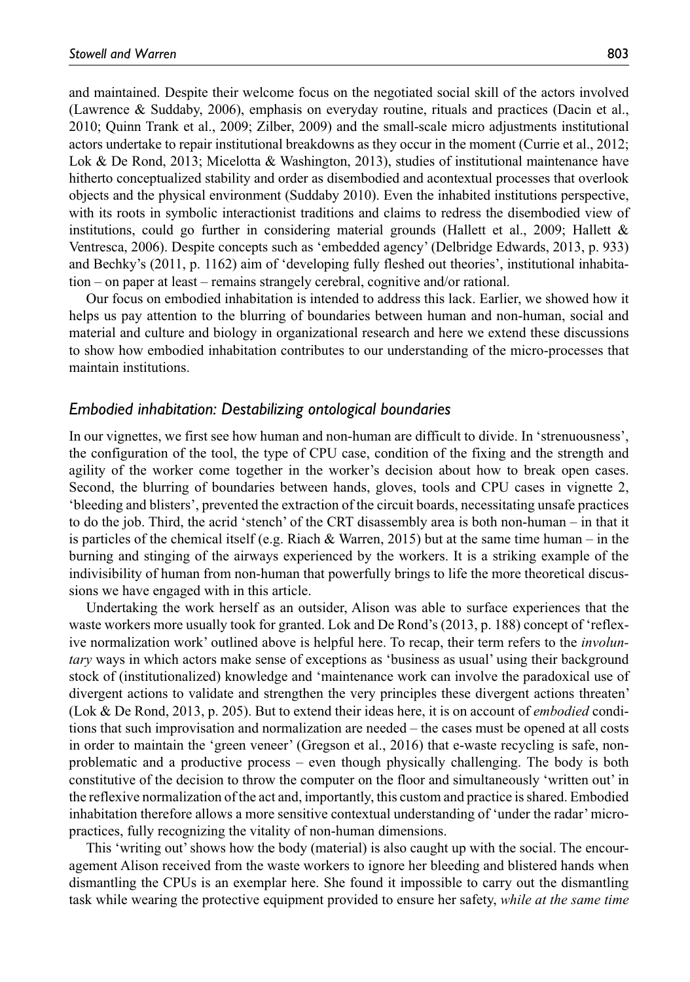and maintained. Despite their welcome focus on the negotiated social skill of the actors involved (Lawrence & Suddaby, 2006), emphasis on everyday routine, rituals and practices (Dacin et al., 2010; Quinn Trank et al., 2009; Zilber, 2009) and the small-scale micro adjustments institutional actors undertake to repair institutional breakdowns as they occur in the moment (Currie et al., 2012; Lok & De Rond, 2013; Micelotta & Washington, 2013), studies of institutional maintenance have hitherto conceptualized stability and order as disembodied and acontextual processes that overlook objects and the physical environment (Suddaby 2010). Even the inhabited institutions perspective, with its roots in symbolic interactionist traditions and claims to redress the disembodied view of institutions, could go further in considering material grounds (Hallett et al., 2009; Hallett  $\&$ Ventresca, 2006). Despite concepts such as 'embedded agency' (Delbridge Edwards, 2013, p. 933) and Bechky's (2011, p. 1162) aim of 'developing fully fleshed out theories', institutional inhabitation – on paper at least – remains strangely cerebral, cognitive and/or rational.

Our focus on embodied inhabitation is intended to address this lack. Earlier, we showed how it helps us pay attention to the blurring of boundaries between human and non-human, social and material and culture and biology in organizational research and here we extend these discussions to show how embodied inhabitation contributes to our understanding of the micro-processes that maintain institutions.

### *Embodied inhabitation: Destabilizing ontological boundaries*

In our vignettes, we first see how human and non-human are difficult to divide. In 'strenuousness', the configuration of the tool, the type of CPU case, condition of the fixing and the strength and agility of the worker come together in the worker's decision about how to break open cases. Second, the blurring of boundaries between hands, gloves, tools and CPU cases in vignette 2, 'bleeding and blisters', prevented the extraction of the circuit boards, necessitating unsafe practices to do the job. Third, the acrid 'stench' of the CRT disassembly area is both non-human – in that it is particles of the chemical itself (e.g. Riach  $\&$  Warren, 2015) but at the same time human – in the burning and stinging of the airways experienced by the workers. It is a striking example of the indivisibility of human from non-human that powerfully brings to life the more theoretical discussions we have engaged with in this article.

Undertaking the work herself as an outsider, Alison was able to surface experiences that the waste workers more usually took for granted. Lok and De Rond's (2013, p. 188) concept of 'reflexive normalization work' outlined above is helpful here. To recap, their term refers to the *involuntary* ways in which actors make sense of exceptions as 'business as usual' using their background stock of (institutionalized) knowledge and 'maintenance work can involve the paradoxical use of divergent actions to validate and strengthen the very principles these divergent actions threaten' (Lok & De Rond, 2013, p. 205). But to extend their ideas here, it is on account of *embodied* conditions that such improvisation and normalization are needed – the cases must be opened at all costs in order to maintain the 'green veneer' (Gregson et al., 2016) that e-waste recycling is safe, nonproblematic and a productive process – even though physically challenging. The body is both constitutive of the decision to throw the computer on the floor and simultaneously 'written out' in the reflexive normalization of the act and, importantly, this custom and practice is shared. Embodied inhabitation therefore allows a more sensitive contextual understanding of 'under the radar' micropractices, fully recognizing the vitality of non-human dimensions.

This 'writing out' shows how the body (material) is also caught up with the social. The encouragement Alison received from the waste workers to ignore her bleeding and blistered hands when dismantling the CPUs is an exemplar here. She found it impossible to carry out the dismantling task while wearing the protective equipment provided to ensure her safety, *while at the same time*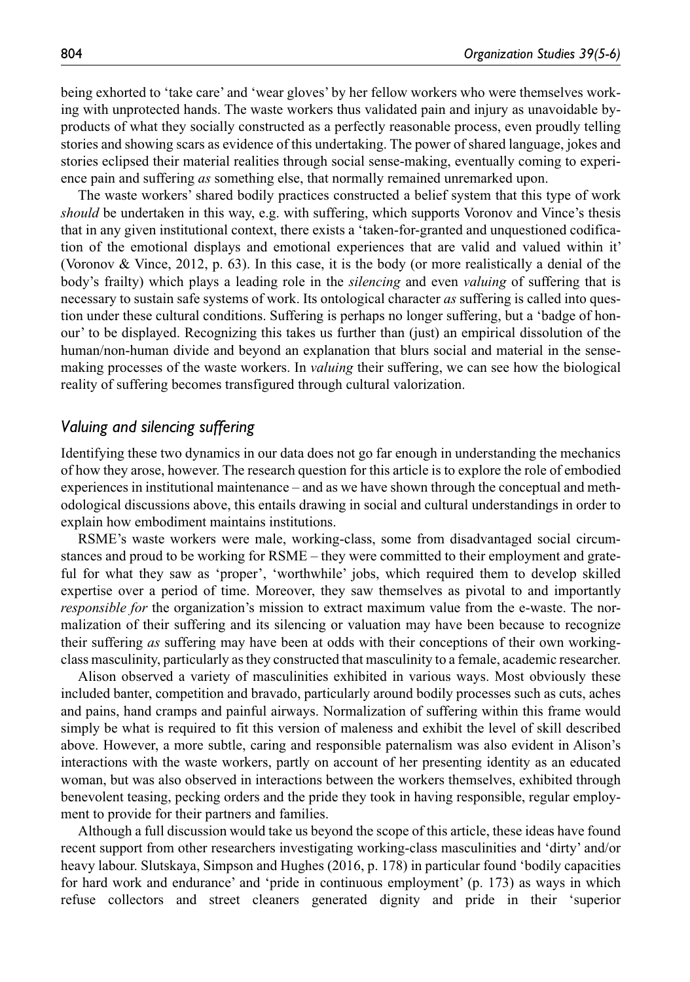being exhorted to 'take care' and 'wear gloves' by her fellow workers who were themselves working with unprotected hands. The waste workers thus validated pain and injury as unavoidable byproducts of what they socially constructed as a perfectly reasonable process, even proudly telling stories and showing scars as evidence of this undertaking. The power of shared language, jokes and stories eclipsed their material realities through social sense-making, eventually coming to experience pain and suffering *as* something else, that normally remained unremarked upon.

The waste workers' shared bodily practices constructed a belief system that this type of work *should* be undertaken in this way, e.g. with suffering, which supports Voronov and Vince's thesis that in any given institutional context, there exists a 'taken-for-granted and unquestioned codification of the emotional displays and emotional experiences that are valid and valued within it' (Voronov & Vince, 2012, p. 63). In this case, it is the body (or more realistically a denial of the body's frailty) which plays a leading role in the *silencing* and even *valuing* of suffering that is necessary to sustain safe systems of work. Its ontological character *as* suffering is called into question under these cultural conditions. Suffering is perhaps no longer suffering, but a 'badge of honour' to be displayed. Recognizing this takes us further than (just) an empirical dissolution of the human/non-human divide and beyond an explanation that blurs social and material in the sensemaking processes of the waste workers. In *valuing* their suffering, we can see how the biological reality of suffering becomes transfigured through cultural valorization.

### *Valuing and silencing suffering*

Identifying these two dynamics in our data does not go far enough in understanding the mechanics of how they arose, however. The research question for this article is to explore the role of embodied experiences in institutional maintenance – and as we have shown through the conceptual and methodological discussions above, this entails drawing in social and cultural understandings in order to explain how embodiment maintains institutions.

RSME's waste workers were male, working-class, some from disadvantaged social circumstances and proud to be working for RSME – they were committed to their employment and grateful for what they saw as 'proper', 'worthwhile' jobs, which required them to develop skilled expertise over a period of time. Moreover, they saw themselves as pivotal to and importantly *responsible for* the organization's mission to extract maximum value from the e-waste. The normalization of their suffering and its silencing or valuation may have been because to recognize their suffering *as* suffering may have been at odds with their conceptions of their own workingclass masculinity, particularly as they constructed that masculinity to a female, academic researcher.

Alison observed a variety of masculinities exhibited in various ways. Most obviously these included banter, competition and bravado, particularly around bodily processes such as cuts, aches and pains, hand cramps and painful airways. Normalization of suffering within this frame would simply be what is required to fit this version of maleness and exhibit the level of skill described above. However, a more subtle, caring and responsible paternalism was also evident in Alison's interactions with the waste workers, partly on account of her presenting identity as an educated woman, but was also observed in interactions between the workers themselves, exhibited through benevolent teasing, pecking orders and the pride they took in having responsible, regular employment to provide for their partners and families.

Although a full discussion would take us beyond the scope of this article, these ideas have found recent support from other researchers investigating working-class masculinities and 'dirty' and/or heavy labour. Slutskaya, Simpson and Hughes (2016, p. 178) in particular found 'bodily capacities for hard work and endurance' and 'pride in continuous employment' (p. 173) as ways in which refuse collectors and street cleaners generated dignity and pride in their 'superior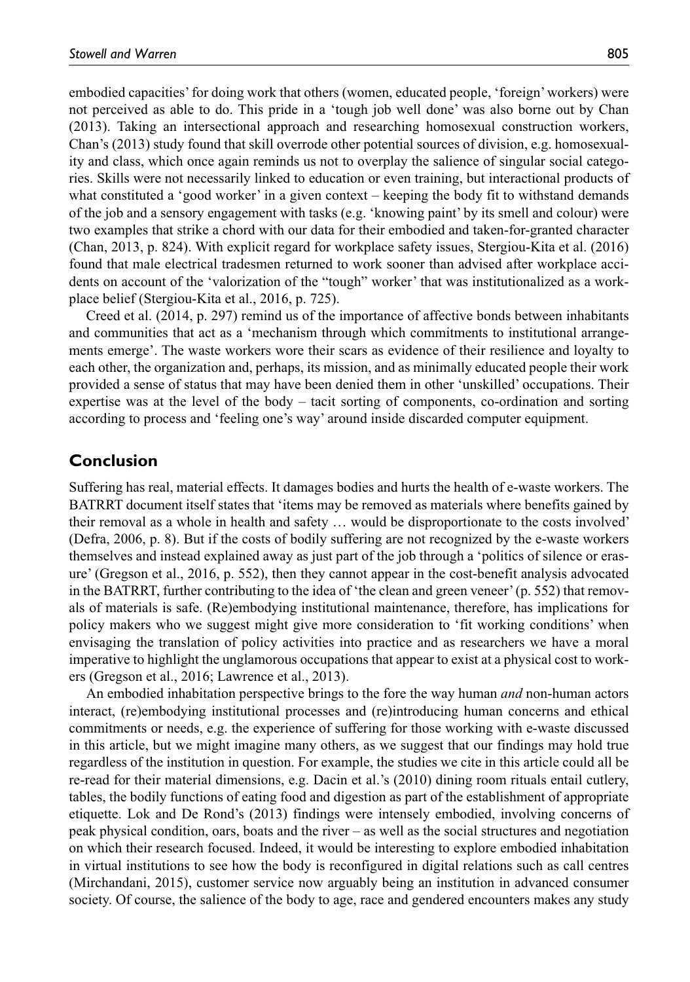embodied capacities' for doing work that others (women, educated people, 'foreign' workers) were not perceived as able to do. This pride in a 'tough job well done' was also borne out by Chan (2013). Taking an intersectional approach and researching homosexual construction workers, Chan's (2013) study found that skill overrode other potential sources of division, e.g. homosexuality and class, which once again reminds us not to overplay the salience of singular social categories. Skills were not necessarily linked to education or even training, but interactional products of what constituted a 'good worker' in a given context – keeping the body fit to withstand demands of the job and a sensory engagement with tasks (e.g. 'knowing paint' by its smell and colour) were two examples that strike a chord with our data for their embodied and taken-for-granted character (Chan, 2013, p. 824). With explicit regard for workplace safety issues, Stergiou-Kita et al. (2016) found that male electrical tradesmen returned to work sooner than advised after workplace accidents on account of the 'valorization of the "tough" worker' that was institutionalized as a workplace belief (Stergiou-Kita et al., 2016, p. 725).

Creed et al. (2014, p. 297) remind us of the importance of affective bonds between inhabitants and communities that act as a 'mechanism through which commitments to institutional arrangements emerge'. The waste workers wore their scars as evidence of their resilience and loyalty to each other, the organization and, perhaps, its mission, and as minimally educated people their work provided a sense of status that may have been denied them in other 'unskilled' occupations. Their expertise was at the level of the body – tacit sorting of components, co-ordination and sorting according to process and 'feeling one's way' around inside discarded computer equipment.

# **Conclusion**

Suffering has real, material effects. It damages bodies and hurts the health of e-waste workers. The BATRRT document itself states that 'items may be removed as materials where benefits gained by their removal as a whole in health and safety … would be disproportionate to the costs involved' (Defra, 2006, p. 8). But if the costs of bodily suffering are not recognized by the e-waste workers themselves and instead explained away as just part of the job through a 'politics of silence or erasure' (Gregson et al., 2016, p. 552), then they cannot appear in the cost-benefit analysis advocated in the BATRRT, further contributing to the idea of 'the clean and green veneer' (p. 552) that removals of materials is safe. (Re)embodying institutional maintenance, therefore, has implications for policy makers who we suggest might give more consideration to 'fit working conditions' when envisaging the translation of policy activities into practice and as researchers we have a moral imperative to highlight the unglamorous occupations that appear to exist at a physical cost to workers (Gregson et al., 2016; Lawrence et al., 2013).

An embodied inhabitation perspective brings to the fore the way human *and* non-human actors interact, (re)embodying institutional processes and (re)introducing human concerns and ethical commitments or needs, e.g. the experience of suffering for those working with e-waste discussed in this article, but we might imagine many others, as we suggest that our findings may hold true regardless of the institution in question. For example, the studies we cite in this article could all be re-read for their material dimensions, e.g. Dacin et al.'s (2010) dining room rituals entail cutlery, tables, the bodily functions of eating food and digestion as part of the establishment of appropriate etiquette. Lok and De Rond's (2013) findings were intensely embodied, involving concerns of peak physical condition, oars, boats and the river – as well as the social structures and negotiation on which their research focused. Indeed, it would be interesting to explore embodied inhabitation in virtual institutions to see how the body is reconfigured in digital relations such as call centres (Mirchandani, 2015), customer service now arguably being an institution in advanced consumer society. Of course, the salience of the body to age, race and gendered encounters makes any study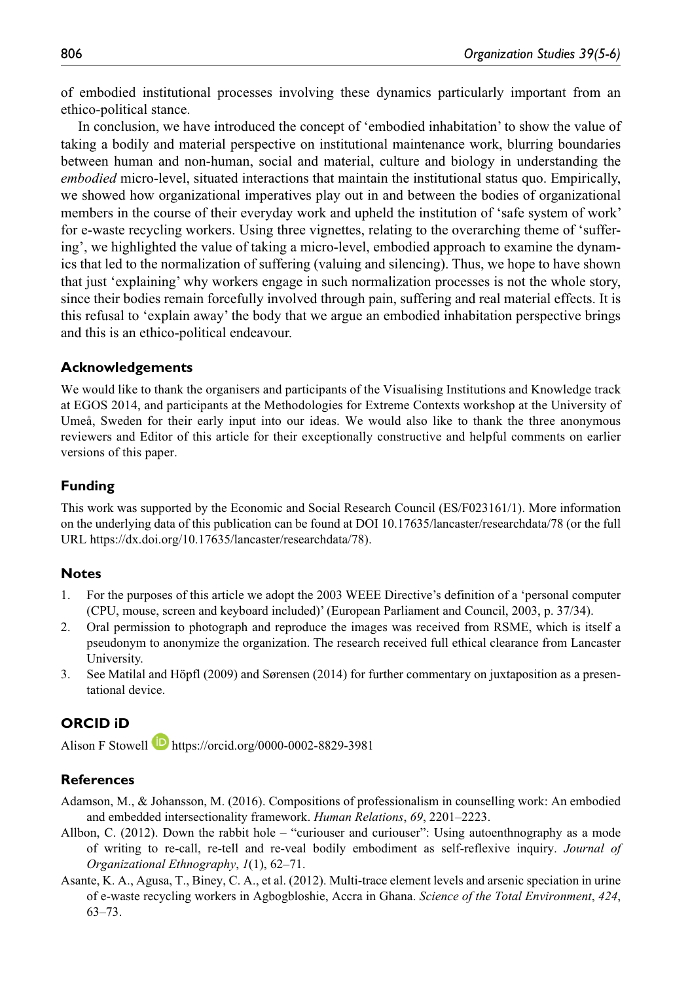of embodied institutional processes involving these dynamics particularly important from an ethico-political stance.

In conclusion, we have introduced the concept of 'embodied inhabitation' to show the value of taking a bodily and material perspective on institutional maintenance work, blurring boundaries between human and non-human, social and material, culture and biology in understanding the *embodied* micro-level, situated interactions that maintain the institutional status quo. Empirically, we showed how organizational imperatives play out in and between the bodies of organizational members in the course of their everyday work and upheld the institution of 'safe system of work' for e-waste recycling workers. Using three vignettes, relating to the overarching theme of 'suffering', we highlighted the value of taking a micro-level, embodied approach to examine the dynamics that led to the normalization of suffering (valuing and silencing). Thus, we hope to have shown that just 'explaining' why workers engage in such normalization processes is not the whole story, since their bodies remain forcefully involved through pain, suffering and real material effects. It is this refusal to 'explain away' the body that we argue an embodied inhabitation perspective brings and this is an ethico-political endeavour.

### **Acknowledgements**

We would like to thank the organisers and participants of the Visualising Institutions and Knowledge track at EGOS 2014, and participants at the Methodologies for Extreme Contexts workshop at the University of Umeå, Sweden for their early input into our ideas. We would also like to thank the three anonymous reviewers and Editor of this article for their exceptionally constructive and helpful comments on earlier versions of this paper.

### **Funding**

This work was supported by the Economic and Social Research Council (ES/F023161/1). More information on the underlying data of this publication can be found at DOI 10.17635/lancaster/researchdata/78 (or the full URL <https://dx.doi.org/10.17635/lancaster/researchdata/78>).

### **Notes**

- 1. For the purposes of this article we adopt the 2003 WEEE Directive's definition of a 'personal computer (CPU, mouse, screen and keyboard included)' (European Parliament and Council, 2003, p. 37/34).
- 2. Oral permission to photograph and reproduce the images was received from RSME, which is itself a pseudonym to anonymize the organization. The research received full ethical clearance from Lancaster University.
- 3. See Matilal and Höpfl (2009) and Sørensen (2014) for further commentary on juxtaposition as a presentational device.

### **ORCID iD**

Alison F Stowell **b** <https://orcid.org/0000-0002-8829-3981>

#### **References**

Adamson, M., & Johansson, M. (2016). Compositions of professionalism in counselling work: An embodied and embedded intersectionality framework. *Human Relations*, *69*, 2201–2223.

- Allbon, C. (2012). Down the rabbit hole "curiouser and curiouser": Using autoenthnography as a mode of writing to re-call, re-tell and re-veal bodily embodiment as self-reflexive inquiry. *Journal of Organizational Ethnography*, *1*(1), 62–71.
- Asante, K. A., Agusa, T., Biney, C. A., et al. (2012). Multi-trace element levels and arsenic speciation in urine of e-waste recycling workers in Agbogbloshie, Accra in Ghana. *Science of the Total Environment*, *424*, 63–73.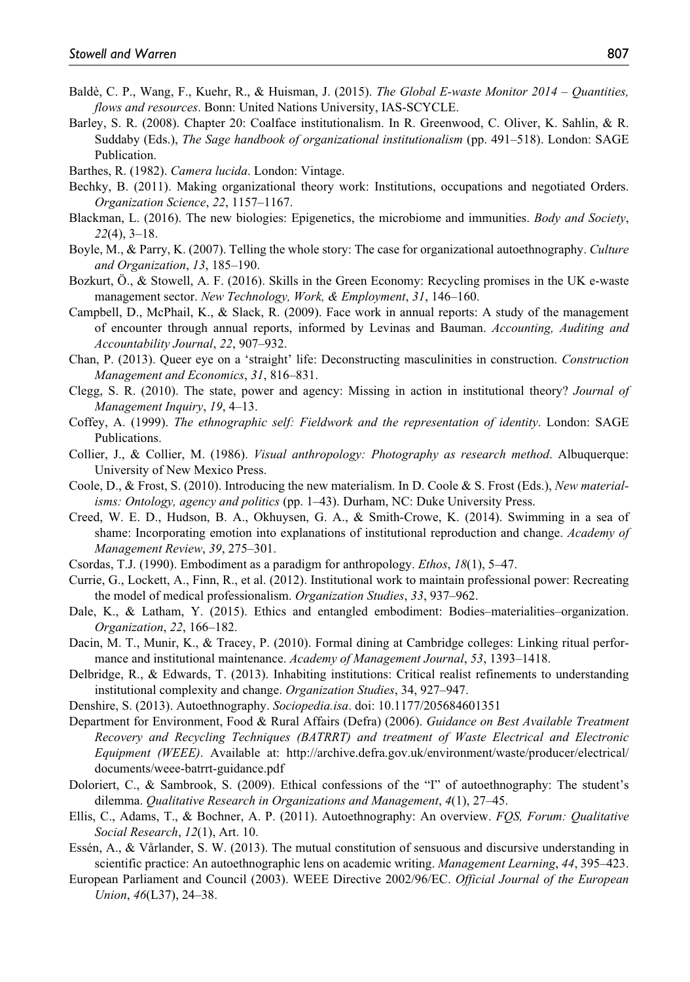- Baldè, C. P., Wang, F., Kuehr, R., & Huisman, J. (2015). *The Global E-waste Monitor 2014 Quantities, flows and resources*. Bonn: United Nations University, IAS-SCYCLE.
- Barley, S. R. (2008). Chapter 20: Coalface institutionalism. In R. Greenwood, C. Oliver, K. Sahlin, & R. Suddaby (Eds.), *The Sage handbook of organizational institutionalism* (pp. 491–518). London: SAGE Publication.
- Barthes, R. (1982). *Camera lucida*. London: Vintage.
- Bechky, B. (2011). Making organizational theory work: Institutions, occupations and negotiated Orders. *Organization Science*, *22*, 1157–1167.
- Blackman, L. (2016). The new biologies: Epigenetics, the microbiome and immunities. *Body and Society*, *22*(4), 3–18.
- Boyle, M., & Parry, K. (2007). Telling the whole story: The case for organizational autoethnography. *Culture and Organization*, *13*, 185–190.
- Bozkurt, Ö., & Stowell, A. F. (2016). Skills in the Green Economy: Recycling promises in the UK e-waste management sector. *New Technology, Work, & Employment*, *31*, 146–160.
- Campbell, D., McPhail, K., & Slack, R. (2009). Face work in annual reports: A study of the management of encounter through annual reports, informed by Levinas and Bauman. *Accounting, Auditing and Accountability Journal*, *22*, 907–932.
- Chan, P. (2013). Queer eye on a 'straight' life: Deconstructing masculinities in construction. *Construction Management and Economics*, *31*, 816–831.
- Clegg, S. R. (2010). The state, power and agency: Missing in action in institutional theory? *Journal of Management Inquiry*, *19*, 4–13.
- Coffey, A. (1999). *The ethnographic self: Fieldwork and the representation of identity*. London: SAGE Publications.
- Collier, J., & Collier, M. (1986). *Visual anthropology: Photography as research method*. Albuquerque: University of New Mexico Press.
- Coole, D., & Frost, S. (2010). Introducing the new materialism. In D. Coole & S. Frost (Eds.), *New materialisms: Ontology, agency and politics* (pp. 1–43). Durham, NC: Duke University Press.
- Creed, W. E. D., Hudson, B. A., Okhuysen, G. A., & Smith-Crowe, K. (2014). Swimming in a sea of shame: Incorporating emotion into explanations of institutional reproduction and change. *Academy of Management Review*, *39*, 275–301.
- Csordas, T.J. (1990). Embodiment as a paradigm for anthropology. *Ethos*, *18*(1), 5–47.
- Currie, G., Lockett, A., Finn, R., et al. (2012). Institutional work to maintain professional power: Recreating the model of medical professionalism. *Organization Studies*, *33*, 937–962.
- Dale, K., & Latham, Y. (2015). Ethics and entangled embodiment: Bodies–materialities–organization. *Organization*, *22*, 166–182.
- Dacin, M. T., Munir, K., & Tracey, P. (2010). Formal dining at Cambridge colleges: Linking ritual performance and institutional maintenance. *Academy of Management Journal*, *53*, 1393–1418.
- Delbridge, R., & Edwards, T. (2013). Inhabiting institutions: Critical realist refinements to understanding institutional complexity and change. *Organization Studies*, 34, 927–947.
- Denshire, S. (2013). Autoethnography. *Sociopedia.isa*. doi: 10.1177/205684601351
- Department for Environment, Food & Rural Affairs (Defra) (2006). *Guidance on Best Available Treatment Recovery and Recycling Techniques (BATRRT) and treatment of Waste Electrical and Electronic Equipment (WEEE)*. Available at: [http://archive.defra.gov.uk/environment/waste/producer/electrical/](http://archive.defra.gov.uk/environment/waste/producer/electrical/documents/weee-batrrt-guidance.pdf) [documents/weee-batrrt-guidance.pdf](http://archive.defra.gov.uk/environment/waste/producer/electrical/documents/weee-batrrt-guidance.pdf)
- Doloriert, C., & Sambrook, S. (2009). Ethical confessions of the "I" of autoethnography: The student's dilemma. *Qualitative Research in Organizations and Management*, *4*(1), 27–45.
- Ellis, C., Adams, T., & Bochner, A. P. (2011). Autoethnography: An overview. *FQS, Forum: Qualitative Social Research*, *12*(1), Art. 10.
- Essén, A., & Vårlander, S. W. (2013). The mutual constitution of sensuous and discursive understanding in scientific practice: An autoethnographic lens on academic writing. *Management Learning*, *44*, 395–423.
- European Parliament and Council (2003). WEEE Directive 2002/96/EC. *Official Journal of the European Union*, *46*(L37), 24–38.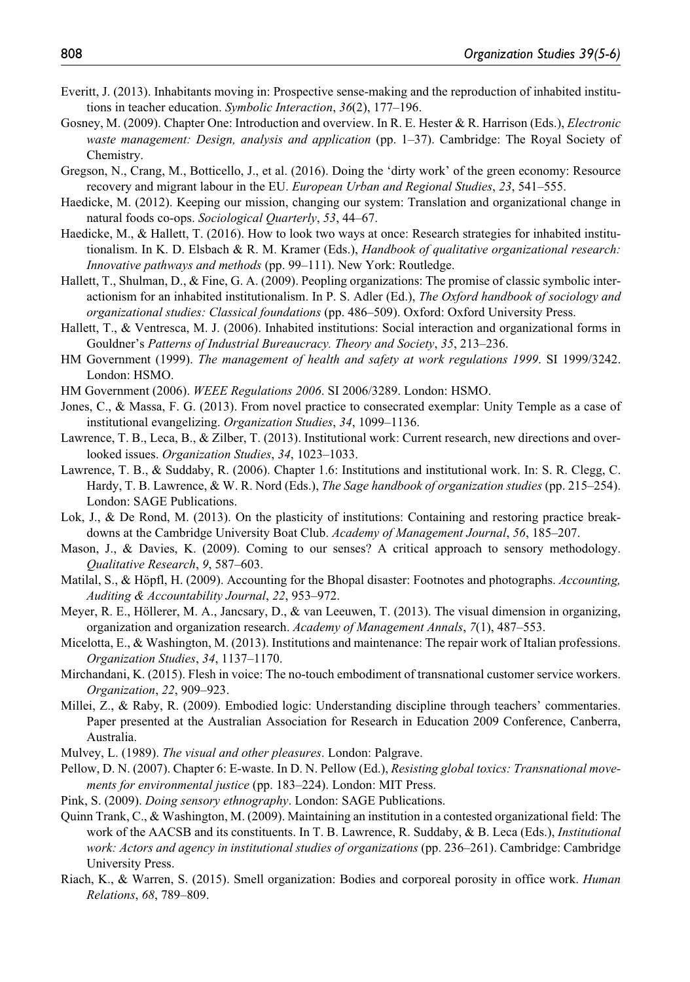- Everitt, J. (2013). Inhabitants moving in: Prospective sense-making and the reproduction of inhabited institutions in teacher education. *Symbolic Interaction*, *36*(2), 177–196.
- Gosney, M. (2009). Chapter One: Introduction and overview. In R. E. Hester & R. Harrison (Eds.), *Electronic waste management: Design, analysis and application* (pp. 1–37). Cambridge: The Royal Society of Chemistry.
- Gregson, N., Crang, M., Botticello, J., et al. (2016). Doing the 'dirty work' of the green economy: Resource recovery and migrant labour in the EU. *European Urban and Regional Studies*, *23*, 541–555.
- Haedicke, M. (2012). Keeping our mission, changing our system: Translation and organizational change in natural foods co-ops. *Sociological Quarterly*, *53*, 44–67.
- Haedicke, M., & Hallett, T. (2016). How to look two ways at once: Research strategies for inhabited institutionalism. In K. D. Elsbach & R. M. Kramer (Eds.), *Handbook of qualitative organizational research: Innovative pathways and methods* (pp. 99–111). New York: Routledge.
- Hallett, T., Shulman, D., & Fine, G. A. (2009). Peopling organizations: The promise of classic symbolic interactionism for an inhabited institutionalism. In P. S. Adler (Ed.), *The Oxford handbook of sociology and organizational studies: Classical foundations* (pp. 486–509). Oxford: Oxford University Press.
- Hallett, T., & Ventresca, M. J. (2006). Inhabited institutions: Social interaction and organizational forms in Gouldner's *Patterns of Industrial Bureaucracy. Theory and Society*, *35*, 213–236.
- HM Government (1999). *The management of health and safety at work regulations 1999*. SI 1999/3242. London: HSMO.
- HM Government (2006). *WEEE Regulations 2006*. SI 2006/3289. London: HSMO.
- Jones, C., & Massa, F. G. (2013). From novel practice to consecrated exemplar: Unity Temple as a case of institutional evangelizing. *Organization Studies*, *34*, 1099–1136.
- Lawrence, T. B., Leca, B., & Zilber, T. (2013). Institutional work: Current research, new directions and overlooked issues. *Organization Studies*, *34*, 1023–1033.
- Lawrence, T. B., & Suddaby, R. (2006). Chapter 1.6: Institutions and institutional work. In: S. R. Clegg, C. Hardy, T. B. Lawrence, & W. R. Nord (Eds.), *The Sage handbook of organization studies* (pp. 215–254). London: SAGE Publications.
- Lok, J., & De Rond, M. (2013). On the plasticity of institutions: Containing and restoring practice breakdowns at the Cambridge University Boat Club. *Academy of Management Journal*, *56*, 185–207.
- Mason, J., & Davies, K. (2009). Coming to our senses? A critical approach to sensory methodology. *Qualitative Research*, *9*, 587–603.
- Matilal, S., & Höpfl, H. (2009). Accounting for the Bhopal disaster: Footnotes and photographs. *Accounting, Auditing & Accountability Journal*, *22*, 953–972.
- Meyer, R. E., Höllerer, M. A., Jancsary, D., & van Leeuwen, T. (2013). The visual dimension in organizing, organization and organization research. *Academy of Management Annals*, *7*(1), 487–553.
- Micelotta, E., & Washington, M. (2013). Institutions and maintenance: The repair work of Italian professions. *Organization Studies*, *34*, 1137–1170.
- Mirchandani, K. (2015). Flesh in voice: The no-touch embodiment of transnational customer service workers. *Organization*, *22*, 909–923.
- Millei, Z., & Raby, R. (2009). Embodied logic: Understanding discipline through teachers' commentaries. Paper presented at the Australian Association for Research in Education 2009 Conference, Canberra, Australia.
- Mulvey, L. (1989). *The visual and other pleasures*. London: Palgrave.
- Pellow, D. N. (2007). Chapter 6: E-waste. In D. N. Pellow (Ed.), *Resisting global toxics: Transnational movements for environmental justice* (pp. 183–224). London: MIT Press.
- Pink, S. (2009). *Doing sensory ethnography*. London: SAGE Publications.
- Quinn Trank, C., & Washington, M. (2009). Maintaining an institution in a contested organizational field: The work of the AACSB and its constituents. In T. B. Lawrence, R. Suddaby, & B. Leca (Eds.), *Institutional work: Actors and agency in institutional studies of organizations* (pp. 236–261). Cambridge: Cambridge University Press.
- Riach, K., & Warren, S. (2015). Smell organization: Bodies and corporeal porosity in office work. *Human Relations*, *68*, 789–809.